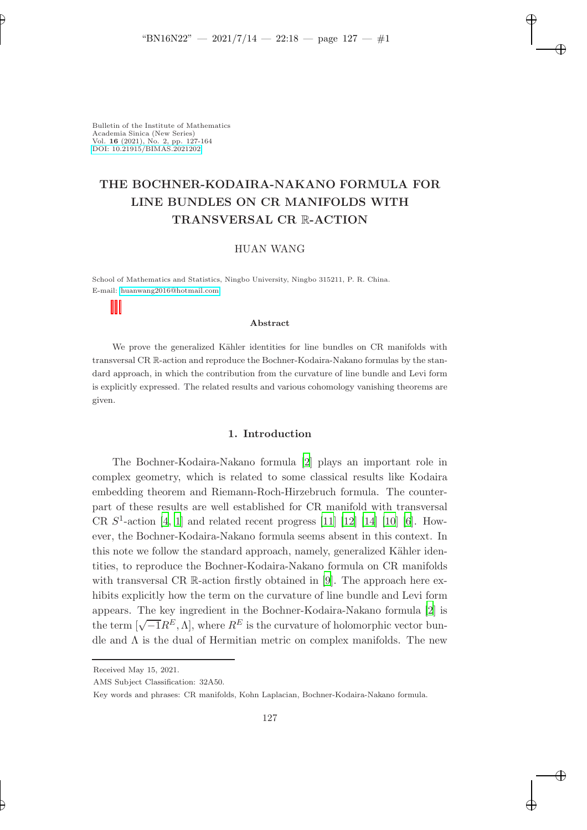✐

✐

✐

Bulletin of the Institute of Mathematics Academia Sinica (New Series) Vol. 16 (2021), No. 2, pp. 127-164 [DOI: 10.21915/BIMAS.2021202](10.21915/BIMAS.2021202)

✐

✐

# THE BOCHNER-KODAIRA-NAKANO FORMULA FOR LINE BUNDLES ON CR MANIFOLDS WITH TRANSVERSAL CR R-ACTION

## HUAN WANG

School of Mathematics and Statistics, Ningbo University, Ningbo 315211, P. R. China. E-mail: [huanwang2016@hotmail.com](mailto:huanwang2016@hotmail.com)

#### Abstract

We prove the generalized Kähler identities for line bundles on CR manifolds with transversal CR R-action and reproduce the Bochner-Kodaira-Nakano formulas by the standard approach, in which the contribution from the curvature of line bundle and Levi form is explicitly expressed. The related results and various cohomology vanishing theorems are given.

#### 1. Introduction

The Bochner-Kodaira-Nakano formula [\[2](#page-36-0)] plays an important role in complex geometry, which is related to some classical results like Kodaira embedding theorem and Riemann-Roch-Hirzebruch formula. The counterpart of these results are well established for CR manifold with transversal CR  $S^1$ -action [\[4,](#page-36-1) [1](#page-36-2)] and related recent progress [\[11](#page-37-0)] [\[12](#page-37-1)] [\[14](#page-37-2)] [\[10](#page-37-3)] [\[6\]](#page-36-3). However, the Bochner-Kodaira-Nakano formula seems absent in this context. In this note we follow the standard approach, namely, generalized Kähler identities, to reproduce the Bochner-Kodaira-Nakano formula on CR manifolds with transversal CR R-action firstly obtained in [\[9](#page-36-4)]. The approach here exhibits explicitly how the term on the curvature of line bundle and Levi form appears. The key ingredient in the Bochner-Kodaira-Nakano formula [\[2](#page-36-0)] is the term  $[\sqrt{-1}R^E, \Lambda]$ , where  $R^E$  is the curvature of holomorphic vector bundle and  $\Lambda$  is the dual of Hermitian metric on complex manifolds. The new

AMS Subject Classification: 32A50.

Received May 15, 2021.

Key words and phrases: CR manifolds, Kohn Laplacian, Bochner-Kodaira-Nakano formula.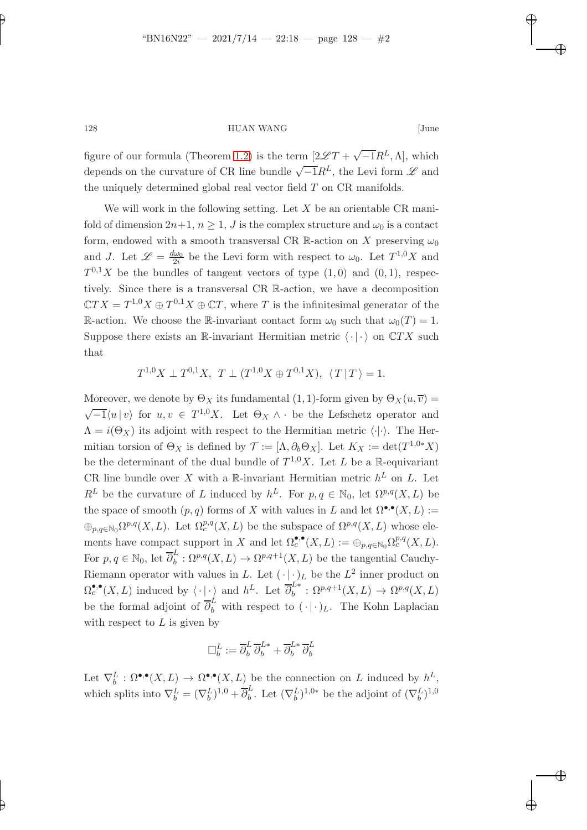✐

✐

✐

128 HUAN WANG [June

figure of our formula (Theorem [1.2\)](#page-2-0) is the term  $[2\mathscr{L}T + \sqrt{-1}R^L, \Lambda]$ , which depends on the curvature of CR line bundle  $\sqrt{-1}R^L$ , the Levi form  $\mathscr L$  and the uniquely determined global real vector field  $T$  on  $CR$  manifolds.

We will work in the following setting. Let  $X$  be an orientable CR manifold of dimension  $2n+1$ ,  $n \geq 1$ , J is the complex structure and  $\omega_0$  is a contact form, endowed with a smooth transversal CR R-action on X preserving  $\omega_0$ and J. Let  $\mathscr{L} = \frac{d\omega_0}{2i}$  $\frac{\omega_0}{2i}$  be the Levi form with respect to  $\omega_0$ . Let  $T^{1,0}X$  and  $T^{0,1}X$  be the bundles of tangent vectors of type  $(1,0)$  and  $(0,1)$ , respectively. Since there is a transversal CR R-action, we have a decomposition  $\mathbb{C}TX = T^{1,0}X \oplus T^{0,1}X \oplus \mathbb{C}T$ , where T is the infinitesimal generator of the R-action. We choose the R-invariant contact form  $\omega_0$  such that  $\omega_0(T) = 1$ . Suppose there exists an R-invariant Hermitian metric  $\langle \cdot | \cdot \rangle$  on  $\mathbb{C}TX$  such that

 $T^{1,0}X \perp T^{0,1}X$ ,  $T \perp (T^{1,0}X \oplus T^{0,1}X)$ ,  $\langle T | T \rangle = 1$ .

Moreover, we denote by  $\Theta_X$  its fundamental (1, 1)-form given by  $\Theta_X(u, \overline{v}) =$  $\sqrt{-1}\langle u | v \rangle$  for  $u, v \in T^{1,0}X$ . Let  $\Theta_X \wedge \cdot$  be the Lefschetz operator and  $\Lambda = i(\Theta_X)$  its adjoint with respect to the Hermitian metric  $\langle \cdot | \cdot \rangle$ . The Hermitian torsion of  $\Theta_X$  is defined by  $\mathcal{T} := [\Lambda, \partial_b \Theta_X]$ . Let  $K_X := \det(T^{1,0*}X)$ be the determinant of the dual bundle of  $T^{1,0}X$ . Let L be a R-equivariant CR line bundle over X with a R-invariant Hermitian metric  $h^L$  on L. Let  $R^L$  be the curvature of L induced by  $h^L$ . For  $p, q \in \mathbb{N}_0$ , let  $\Omega^{p,q}(X, L)$  be the space of smooth  $(p, q)$  forms of X with values in L and let  $\Omega^{\bullet,\bullet}(X, L) :=$  $\oplus_{p,q\in\mathbb{N}_0}\Omega^{p,q}(X,L)$ . Let  $\Omega^{p,q}_c(X,L)$  be the subspace of  $\Omega^{p,q}(X,L)$  whose elements have compact support in X and let  $\Omega_c^{\bullet,\bullet}(X,L) := \bigoplus_{p,q \in \mathbb{N}_0} \Omega_c^{p,q}(X,L)$ . For  $p, q \in \mathbb{N}_0$ , let  $\overline{\partial}_b^L$  $b^L$ :  $\Omega^{p,q}(X, L) \to \Omega^{p,q+1}(X, L)$  be the tangential Cauchy-Riemann operator with values in L. Let  $(\cdot | \cdot)_L$  be the  $L^2$  inner product on  $\Omega_c^{\bullet,\bullet}(X,L)$  induced by  $\langle \cdot | \cdot \rangle$  and  $h^L$ . Let  $\overline{\partial}_b^{L*} : \Omega^{p,q+1}(X,L) \to \Omega^{p,q}(X,L)$ be the formal adjoint of  $\overline{\partial}_b^L$  with respect to  $(\cdot | \cdot)_L$ . The Kohn Laplacian with respect to  $L$  is given by

$$
\Box_b^L:=\overline\partial_b^L\,\overline\partial_b^{L*}+\overline\partial_b^{L*}\,\overline\partial_b^L
$$

Let  $\nabla_b^L : \Omega^{\bullet,\bullet}(X,L) \to \Omega^{\bullet,\bullet}(X,L)$  be the connection on L induced by  $h^L$ , which splits into  $\nabla_b^L = (\nabla_b^L)^{1,0} + \overline{\partial}_b^L$ <sup>L</sup><sub>b</sub>. Let  $(\nabla_b^L)^{1,0*}$  be the adjoint of  $(\nabla_b^L)^{1,0}$ 

✐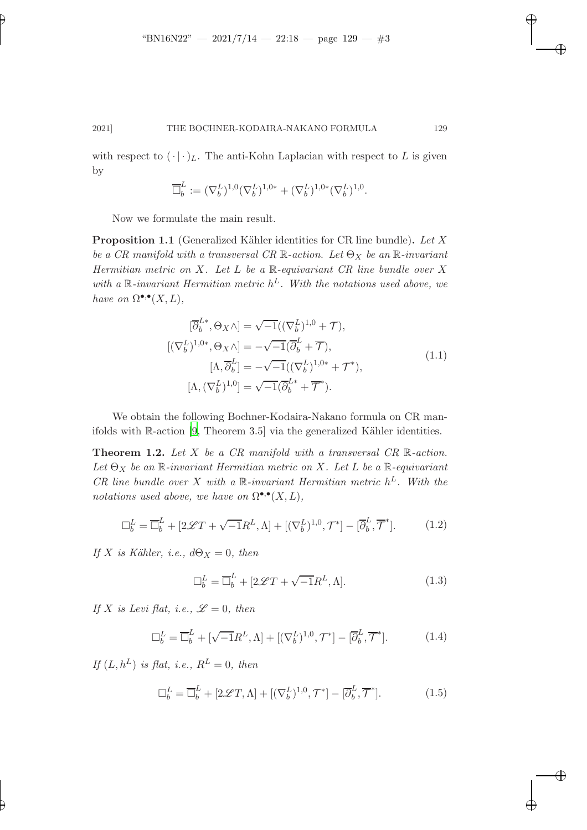✐

✐

✐

### 2021] THE BOCHNER-KODAIRA-NAKANO FORMULA 129

with respect to  $(\cdot | \cdot)_L$ . The anti-Kohn Laplacian with respect to L is given by

$$
\overline{\Box}^L_b:=(\nabla_b^L)^{1,0}(\nabla_b^L)^{1,0*}+(\nabla_b^L)^{1,0*}(\nabla_b^L)^{1,0}.
$$

<span id="page-2-2"></span>Now we formulate the main result.

✐

✐

**Proposition 1.1** (Generalized Kähler identities for CR line bundle). Let  $X$ be a CR manifold with a transversal CR  $\mathbb{R}$ -action. Let  $\Theta_X$  be an  $\mathbb{R}$ -invariant Hermitian metric on  $X$ . Let  $L$  be a  $\mathbb R$ -equivariant CR line bundle over  $X$ with a  $\mathbb R$ -invariant Hermitian metric  $h^L$ . With the notations used above, we have on  $\Omega^{\bullet,\bullet}(X,L)$ ,

$$
[\overline{\partial}_b^{L*}, \Theta_X \wedge] = \sqrt{-1} ((\nabla_b^L)^{1,0} + \mathcal{T}),
$$
  
\n
$$
[(\nabla_b^L)^{1,0*}, \Theta_X \wedge] = -\sqrt{-1} (\overline{\partial}_b^L + \overline{\mathcal{T}}),
$$
  
\n
$$
[\Lambda, \overline{\partial}_b^L] = -\sqrt{-1} ((\nabla_b^L)^{1,0*} + \mathcal{T}^*),
$$
  
\n
$$
[\Lambda, (\nabla_b^L)^{1,0}] = \sqrt{-1} (\overline{\partial}_b^{L*} + \overline{\mathcal{T}}^*).
$$
\n(1.1)

<span id="page-2-0"></span>We obtain the following Bochner-Kodaira-Nakano formula on CR manifolds with  $\mathbb{R}\text{-action}$  [\[9,](#page-36-4) Theorem 3.5] via the generalized Kähler identities.

**Theorem 1.2.** Let X be a CR manifold with a transversal CR R-action. Let  $\Theta_X$  be an  $\mathbb R$ -invariant Hermitian metric on X. Let L be a  $\mathbb R$ -equivariant CR line bundle over X with a  $\mathbb{R}$ -invariant Hermitian metric  $h^L$ . With the notations used above, we have on  $\Omega^{\bullet,\bullet}(X,L)$ ,

$$
\Box_b^L = \overline{\Box}_b^L + [2\mathscr{L}T + \sqrt{-1}R^L, \Lambda] + [(\nabla_b^L)^{1,0}, \mathcal{T}^*] - [\overline{\partial}_b^L, \overline{\mathcal{T}}^*]. \tag{1.2}
$$

If X is Kähler, i.e.,  $d\Theta_X = 0$ , then

<span id="page-2-1"></span>
$$
\Box_b^L = \overline{\Box}_b^L + [2\mathcal{L}T + \sqrt{-1}R^L, \Lambda]. \tag{1.3}
$$

If X is Levi flat, i.e.,  $\mathscr{L}=0$ , then

$$
\Box_b^L = \overline{\Box}_b^L + [\sqrt{-1}R^L, \Lambda] + [(\nabla_b^L)^{1,0}, \mathcal{T}^*] - [\overline{\partial}_b^L, \overline{\mathcal{T}}^*]. \tag{1.4}
$$

If  $(L, h^L)$  is flat, i.e.,  $R^L = 0$ , then

$$
\Box_b^L = \overline{\Box}_b^L + [2\mathcal{L}T, \Lambda] + [(\nabla_b^L)^{1,0}, \mathcal{T}^*] - [\overline{\partial}_b^L, \overline{\mathcal{T}}^*]. \tag{1.5}
$$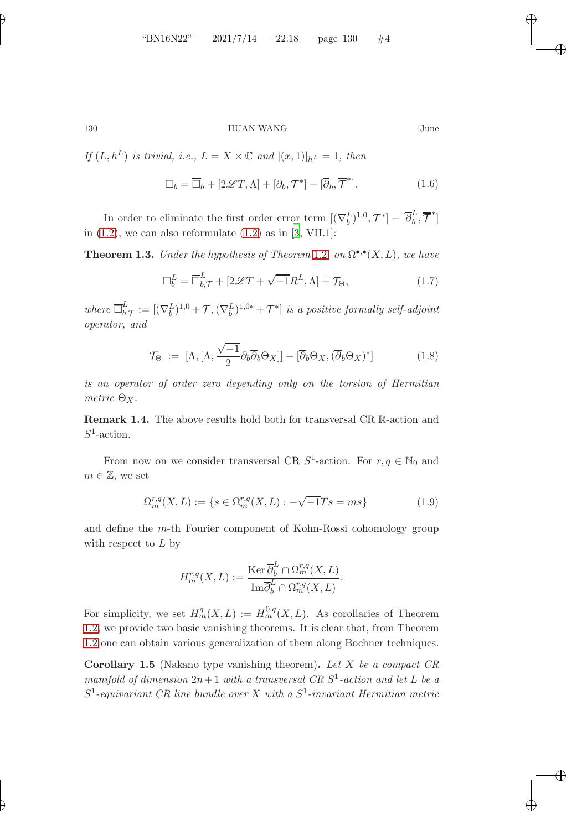✐

### 130 HUAN WANG [June

✐

✐

✐

✐

If  $(L, h^L)$  is trivial, i.e.,  $L = X \times \mathbb{C}$  and  $|(x, 1)|_{h^L} = 1$ , then

$$
\Box_b = \overline{\Box}_b + [2\mathscr{L}T, \Lambda] + [\partial_b, \mathcal{T}^*] - [\overline{\partial}_b, \overline{\mathcal{T}}^*]. \tag{1.6}
$$

<span id="page-3-0"></span>In order to eliminate the first order error term  $[(\nabla_b^L)^{1,0}, \mathcal{T}^*] - [\overline{\partial}_b^L$  $\frac{\iota}{b}, \overline{\mathcal{T}}^*$ ] in  $(1.2)$ , we can also reformulate  $(1.2)$  as in  $[3, VIII.1]$ :

**Theorem 1.3.** Under the hypothesis of Theorem [1.2](#page-2-0), on  $\Omega^{\bullet,\bullet}(X,L)$ , we have

<span id="page-3-2"></span>
$$
\Box_b^L = \overline{\Box}_{b,\mathcal{T}}^L + [2\mathcal{L}T + \sqrt{-1}R^L, \Lambda] + \mathcal{T}_{\Theta},\tag{1.7}
$$

where  $\overline{\square}_{h}^{L}$  $\mathcal{L}_{b,\mathcal{T}}^L := [(\nabla_b^L)^{1,0} + \mathcal{T}, (\nabla_b^L)^{1,0*} + \mathcal{T}^*]$  is a positive formally self-adjoint operator, and

$$
\mathcal{T}_{\Theta} := [\Lambda, [\Lambda, \frac{\sqrt{-1}}{2} \partial_b \overline{\partial}_b \Theta_X]] - [\overline{\partial}_b \Theta_X, (\overline{\partial}_b \Theta_X)^*]
$$
(1.8)

is an operator of order zero depending only on the torsion of Hermitian metric  $\Theta_X$ .

Remark 1.4. The above results hold both for transversal CR R-action and  $S^1$ -action.

From now on we consider transversal CR  $S^1$ -action. For  $r, q \in \mathbb{N}_0$  and  $m \in \mathbb{Z}$ , we set

$$
\Omega_m^{r,q}(X,L) := \{ s \in \Omega_m^{r,q}(X,L) : -\sqrt{-1}Ts = ms \}
$$
\n(1.9)

and define the m-th Fourier component of Kohn-Rossi cohomology group with respect to  $L$  by

$$
H_m^{r,q}(X,L) := \frac{\text{Ker }\overline{\partial}_b^L \cap \Omega_m^{r,q}(X,L)}{\text{Im}\overline{\partial}_b^L \cap \Omega_m^{r,q}(X,L)}.
$$

For simplicity, we set  $H_m^q(X, L) := H_m^{0,q}(X, L)$ . As corollaries of Theorem [1.2,](#page-2-0) we provide two basic vanishing theorems. It is clear that, from Theorem [1.2](#page-2-0) one can obtain various generalization of them along Bochner techniques.

<span id="page-3-1"></span>**Corollary 1.5** (Nakano type vanishing theorem). Let  $X$  be a compact  $CR$ manifold of dimension  $2n+1$  with a transversal CR  $S<sup>1</sup>$ -action and let L be a  $S^1$ -equivariant CR line bundle over X with a  $S^1$ -invariant Hermitian metric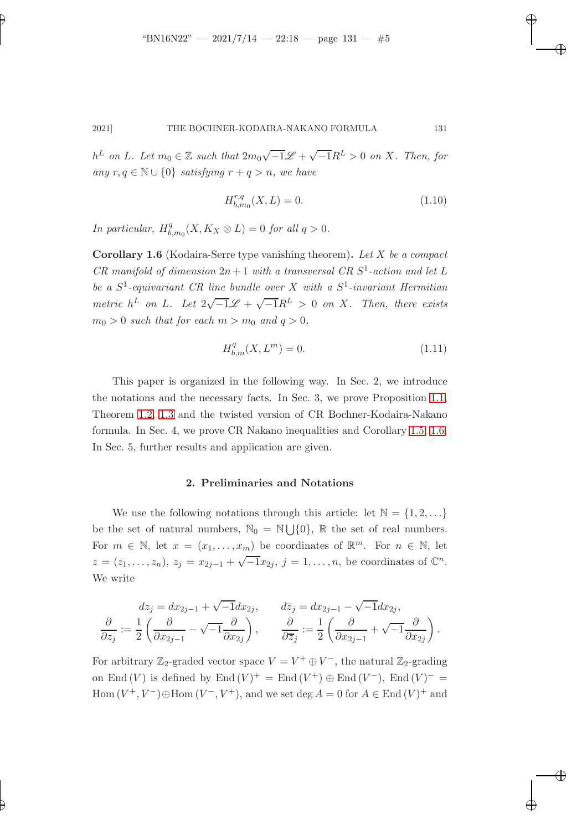$h^L$  on L. Let  $m_0 \in \mathbb{Z}$  such that  $2m_0\sqrt{-1}\mathscr{L} + \sqrt{-1}R^L > 0$  on X. Then, for any  $r, q \in \mathbb{N} \cup \{0\}$  satisfying  $r + q > n$ , we have

$$
H_{b,m_0}^{r,q}(X,L) = 0.
$$
\n(1.10)

✐

✐

✐

.

✐

<span id="page-4-0"></span>In particular,  $H_h^q$  $b_{m_0}^q(X, K_X \otimes L) = 0$  for all  $q > 0$ .

✐

✐

Corollary 1.6 (Kodaira-Serre type vanishing theorem). Let X be a compact CR manifold of dimension  $2n+1$  with a transversal CR  $S^1$ -action and let L be a  $S^1$ -equivariant CR line bundle over X with a  $S^1$ -invariant Hermitian metric  $h^L$  on L. Let  $2\sqrt{-1}\mathscr{L} + \sqrt{-1}R^L > 0$  on X. Then, there exists  $m_0 > 0$  such that for each  $m > m_0$  and  $q > 0$ ,

$$
H_{b,m}^q(X, L^m) = 0.
$$
\n(1.11)

This paper is organized in the following way. In Sec. 2, we introduce the notations and the necessary facts. In Sec. 3, we prove Proposition [1.1,](#page-2-2) Theorem [1.2,](#page-2-0) [1.3](#page-3-0) and the twisted version of CR Bochner-Kodaira-Nakano formula. In Sec. 4, we prove CR Nakano inequalities and Corollary [1.5,](#page-3-1) [1.6.](#page-4-0) In Sec. 5, further results and application are given.

# 2. Preliminaries and Notations

We use the following notations through this article: let  $\mathbb{N} = \{1, 2, \ldots\}$ be the set of natural numbers,  $\mathbb{N}_0 = \mathbb{N} \cup \{0\}$ ,  $\mathbb{R}$  the set of real numbers. For  $m \in \mathbb{N}$ , let  $x = (x_1, \ldots, x_m)$  be coordinates of  $\mathbb{R}^m$ . For  $n \in \mathbb{N}$ , let  $z = (z_1, \ldots, z_n), z_j = x_{2j-1} + \sqrt{-1}x_{2j}, j = 1, \ldots, n$ , be coordinates of  $\mathbb{C}^n$ . We write

$$
dz_j = dx_{2j-1} + \sqrt{-1}dx_{2j}, \qquad d\overline{z}_j = dx_{2j-1} - \sqrt{-1}dx_{2j},
$$
  

$$
\frac{\partial}{\partial z_j} := \frac{1}{2} \left( \frac{\partial}{\partial x_{2j-1}} - \sqrt{-1} \frac{\partial}{\partial x_{2j}} \right), \qquad \frac{\partial}{\partial \overline{z}_j} := \frac{1}{2} \left( \frac{\partial}{\partial x_{2j-1}} + \sqrt{-1} \frac{\partial}{\partial x_{2j}} \right)
$$

For arbitrary  $\mathbb{Z}_2$ -graded vector space  $V = V^+ \oplus V^-$ , the natural  $\mathbb{Z}_2$ -grading on End (V) is defined by End (V)<sup>+</sup> = End (V<sup>+</sup>)  $\oplus$  End (V<sup>-</sup>), End (V)<sup>-</sup> =  $\text{Hom}(V^+, V^-)\oplus \text{Hom}(V^-, V^+),$  and we set  $\text{deg } A = 0$  for  $A \in \text{End}(V)^+$  and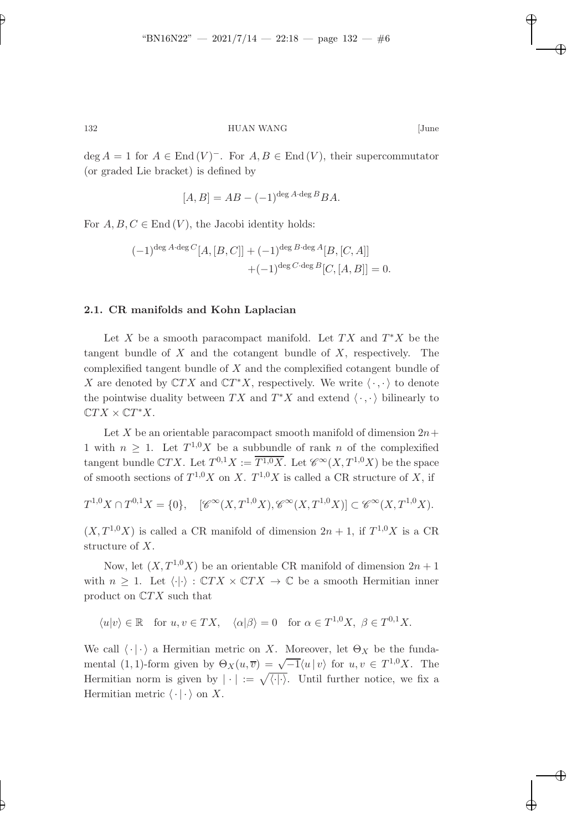✐

132 HUAN WANG [June

 $\deg A = 1$  for  $A \in \text{End}(V)^-$ . For  $A, B \in \text{End}(V)$ , their supercommutator (or graded Lie bracket) is defined by

$$
[A, B] = AB - (-1)^{\deg A \cdot \deg B} BA.
$$

For  $A, B, C \in \text{End}(V)$ , the Jacobi identity holds:

$$
(-1)^{\deg A \cdot \deg C} [A, [B, C]] + (-1)^{\deg B \cdot \deg A} [B, [C, A]] + (-1)^{\deg C \cdot \deg B} [C, [A, B]] = 0.
$$

### 2.1. CR manifolds and Kohn Laplacian

Let X be a smooth paracompact manifold. Let  $TX$  and  $T^*X$  be the tangent bundle of  $X$  and the cotangent bundle of  $X$ , respectively. The complexified tangent bundle of  $X$  and the complexified cotangent bundle of  $X$  are denoted by  $\mathbb C TX$  and  $\mathbb C T^*X,$  respectively. We write  $\langle\,\cdot\,,\cdot\,\rangle$  to denote the pointwise duality between  $TX$  and  $T^*X$  and extend  $\langle \cdot, \cdot \rangle$  bilinearly to  $\mathbb{C}TX \times \mathbb{C}T^*X$ .

Let X be an orientable paracompact smooth manifold of dimension  $2n+$ 1 with  $n \geq 1$ . Let  $T^{1,0}X$  be a subbundle of rank n of the complexified tangent bundle CTX. Let  $T^{0,1}X := \overline{T^{1,0}X}$ . Let  $\mathscr{C}^{\infty}(X,T^{1,0}X)$  be the space of smooth sections of  $T^{1,0}X$  on X.  $T^{1,0}X$  is called a CR structure of X, if

 $T^{1,0}X \cap T^{0,1}X = \{0\}, \quad [\mathscr{C}^{\infty}(X,T^{1,0}X), \mathscr{C}^{\infty}(X,T^{1,0}X)] \subset \mathscr{C}^{\infty}(X,T^{1,0}X).$ 

 $(X, T^{1,0}X)$  is called a CR manifold of dimension  $2n + 1$ , if  $T^{1,0}X$  is a CR structure of X.

Now, let  $(X, T^{1,0}X)$  be an orientable CR manifold of dimension  $2n + 1$ with  $n \geq 1$ . Let  $\langle \cdot | \cdot \rangle : \mathbb{C}TX \times \mathbb{C}TX \to \mathbb{C}$  be a smooth Hermitian inner product on  $\mathbb{C}TX$  such that

$$
\langle u|v\rangle \in \mathbb{R}
$$
 for  $u, v \in TX$ ,  $\langle \alpha | \beta \rangle = 0$  for  $\alpha \in T^{1,0}X$ ,  $\beta \in T^{0,1}X$ .

We call  $\langle \cdot | \cdot \rangle$  a Hermitian metric on X. Moreover, let  $\Theta_X$  be the fundamental (1, 1)-form given by  $\Theta_X(u, \overline{v}) = \sqrt{-1} \langle u | v \rangle$  for  $u, v \in T^{1,0}X$ . The Hermitian norm is given by  $|\cdot| := \sqrt{\langle \cdot | \cdot \rangle}$ . Until further notice, we fix a Hermitian metric  $\langle \cdot | \cdot \rangle$  on X.

✐

✐

✐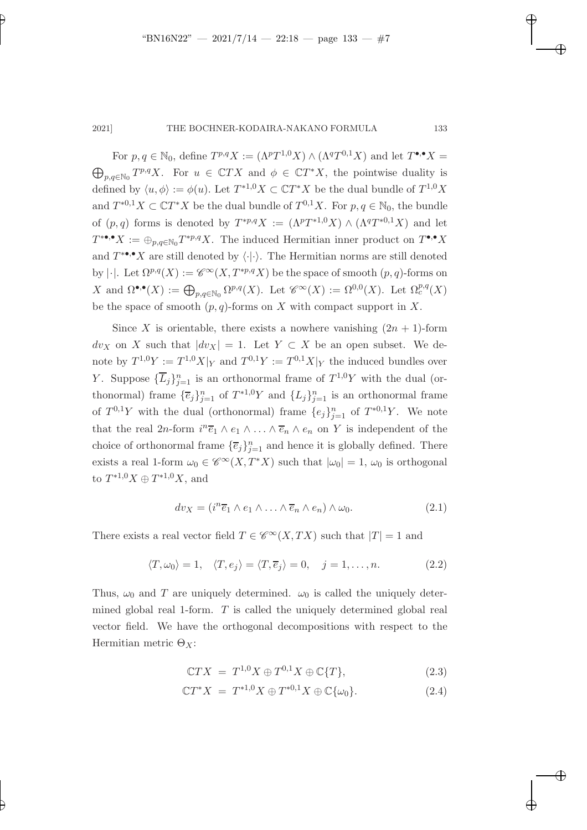✐

✐

✐

✐

✐

# 2021] THE BOCHNER-KODAIRA-NAKANO FORMULA 133

For  $p, q \in \mathbb{N}_0$ , define  $T^{p,q}X := (\Lambda^p T^{1,0} X) \wedge (\Lambda^q T^{0,1} X)$  and let  $T^{\bullet,\bullet} X =$  $\bigoplus_{p,q\in\mathbb{N}_0}T^{p,q}X$ . For  $u \in \mathbb{C}TX$  and  $\phi \in \mathbb{C}T^*X$ , the pointwise duality is defined by  $\langle u, \phi \rangle := \phi(u)$ . Let  $T^{*1,0}X \subset \mathbb{C}T^{*}X$  be the dual bundle of  $T^{1,0}X$ and  $T^{*0,1}X \subset \mathbb{C}T^{*}X$  be the dual bundle of  $T^{0,1}X$ . For  $p, q \in \mathbb{N}_0$ , the bundle of  $(p,q)$  forms is denoted by  $T^{*p,q}X := (\Lambda^pT^{*1,0}X) \wedge (\Lambda^qT^{*0,1}X)$  and let  $T^{* \bullet,\bullet} X := \bigoplus_{p,q \in \mathbb{N}_0} T^{*p,q} X$ . The induced Hermitian inner product on  $T^{\bullet,\bullet} X$ and  $T^{* \bullet, \bullet} X$  are still denoted by  $\langle \cdot | \cdot \rangle$ . The Hermitian norms are still denoted by | $\cdot$ ]. Let  $\Omega^{p,q}(X) := \mathscr{C}^{\infty}(X, T^{*p,q}X)$  be the space of smooth  $(p, q)$ -forms on X and  $\Omega^{\bullet,\bullet}(X) := \bigoplus_{p,q \in \mathbb{N}_0} \Omega^{p,q}(X)$ . Let  $\mathscr{C}^{\infty}(X) := \Omega^{0,0}(X)$ . Let  $\Omega_c^{p,q}(X)$ be the space of smooth  $(p, q)$ -forms on X with compact support in X.

Since X is orientable, there exists a nowhere vanishing  $(2n + 1)$ -form  $dv_X$  on X such that  $|dv_X| = 1$ . Let  $Y \subset X$  be an open subset. We denote by  $T^{1,0}Y := T^{1,0}X|_Y$  and  $T^{0,1}Y := T^{0,1}X|_Y$  the induced bundles over Y. Suppose  ${\{\overline{L}_j\}_{j=1}^n}$  is an orthonormal frame of  $T^{1,0}Y$  with the dual (orthonormal) frame  $\{\overline{e}_j\}_{j=1}^n$  of  $T^{*1,0}Y$  and  $\{L_j\}_{j=1}^n$  is an orthonormal frame of  $T^{0,1}Y$  with the dual (orthonormal) frame  $\{e_j\}_{j=1}^n$  of  $T^{*0,1}Y$ . We note that the real 2n-form  $i^n \overline{e}_1 \wedge e_1 \wedge \ldots \wedge \overline{e}_n \wedge e_n$  on Y is independent of the choice of orthonormal frame  $\{\overline{e}_j\}_{j=1}^n$  and hence it is globally defined. There exists a real 1-form  $\omega_0 \in \mathscr{C}^{\infty}(X,T^*X)$  such that  $|\omega_0| = 1$ ,  $\omega_0$  is orthogonal to  $T^{*1,0}X \oplus T^{*1,0}X$ , and

$$
dv_X = (i^n \overline{e}_1 \wedge e_1 \wedge \ldots \wedge \overline{e}_n \wedge e_n) \wedge \omega_0.
$$
 (2.1)

There exists a real vector field  $T \in \mathscr{C}^{\infty}(X,TX)$  such that  $|T| = 1$  and

$$
\langle T, \omega_0 \rangle = 1, \quad \langle T, e_j \rangle = \langle T, \overline{e}_j \rangle = 0, \quad j = 1, \dots, n. \tag{2.2}
$$

Thus,  $\omega_0$  and T are uniquely determined.  $\omega_0$  is called the uniquely determined global real 1-form. T is called the uniquely determined global real vector field. We have the orthogonal decompositions with respect to the Hermitian metric  $\Theta_X$ :

$$
\mathbb{C}TX = T^{1,0}X \oplus T^{0,1}X \oplus \mathbb{C}\lbrace T \rbrace,
$$
\n
$$
(2.3)
$$

$$
\mathbb{C}T^*X = T^{*1,0}X \oplus T^{*0,1}X \oplus \mathbb{C}\{\omega_0\}.
$$
 (2.4)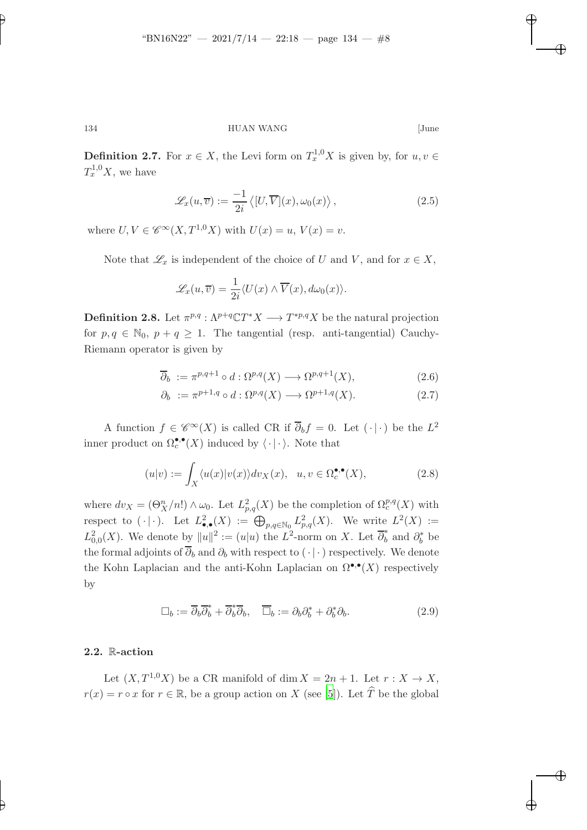134 HUAN WANG [June

**Definition 2.7.** For  $x \in X$ , the Levi form on  $T_x^{1,0}X$  is given by, for  $u, v \in$  $T_x^{1,0}X$ , we have

$$
\mathcal{L}_x(u,\overline{v}) := \frac{-1}{2i} \langle [U,\overline{V}](x), \omega_0(x) \rangle, \qquad (2.5)
$$

where  $U, V \in \mathscr{C}^{\infty}(X, T^{1,0}X)$  with  $U(x) = u, V(x) = v$ .

Note that  $\mathscr{L}_x$  is independent of the choice of U and V, and for  $x \in X$ ,

$$
\mathscr{L}_x(u,\overline{v}) = \frac{1}{2i} \langle U(x) \wedge \overline{V}(x), d\omega_0(x) \rangle.
$$

**Definition 2.8.** Let  $\pi^{p,q}: \Lambda^{p+q}\mathbb{C}T^*X \longrightarrow T^{*p,q}X$  be the natural projection for  $p, q \in \mathbb{N}_0$ ,  $p + q \geq 1$ . The tangential (resp. anti-tangential) Cauchy-Riemann operator is given by

$$
\overline{\partial}_b := \pi^{p,q+1} \circ d : \Omega^{p,q}(X) \longrightarrow \Omega^{p,q+1}(X), \tag{2.6}
$$

$$
\partial_b := \pi^{p+1,q} \circ d : \Omega^{p,q}(X) \longrightarrow \Omega^{p+1,q}(X). \tag{2.7}
$$

A function  $f \in \mathscr{C}^{\infty}(X)$  is called CR if  $\overline{\partial}_b f = 0$ . Let  $(\cdot | \cdot)$  be the  $L^2$ inner product on  $\Omega_c^{\bullet,\bullet}(X)$  induced by  $\langle \cdot | \cdot \rangle$ . Note that

$$
(u|v) := \int_X \langle u(x)|v(x)\rangle dv_X(x), \quad u, v \in \Omega_c^{\bullet,\bullet}(X),\tag{2.8}
$$

where  $dv_X = (\Theta_X^n/n!) \wedge \omega_0$ . Let  $L^2_{p,q}(X)$  be the completion of  $\Omega_c^{p,q}(X)$  with respect to  $(\cdot | \cdot)$ . Let  $L^2_{\bullet,\bullet}(X) := \bigoplus_{p,q \in \mathbb{N}_0} L^2_{p,q}(X)$ . We write  $L^2(X) :=$  $L^2_{0,0}(X)$ . We denote by  $||u||^2 := (u|u)$  the  $L^2$ -norm on X. Let  $\overline{\partial}_b^*$  and  $\partial_b^*$  be the formal adjoints of  $\overline{\partial}_b$  and  $\partial_b$  with respect to  $(\cdot | \cdot)$  respectively. We denote the Kohn Laplacian and the anti-Kohn Laplacian on  $\Omega^{\bullet,\bullet}(X)$  respectively by

$$
\Box_b := \overline{\partial}_b \overline{\partial}_b^* + \overline{\partial}_b^* \overline{\partial}_b, \quad \overline{\Box}_b := \partial_b \partial_b^* + \partial_b^* \partial_b. \tag{2.9}
$$

# 2.2. R-action

✐

Let  $(X, T^{1,0}X)$  be a CR manifold of dim  $X = 2n + 1$ . Let  $r : X \to X$ ,  $r(x) = r \circ x$  for  $r \in \mathbb{R}$ , be a group action on X (see [\[5\]](#page-36-6)). Let  $\widehat{T}$  be the global

✐

✐

✐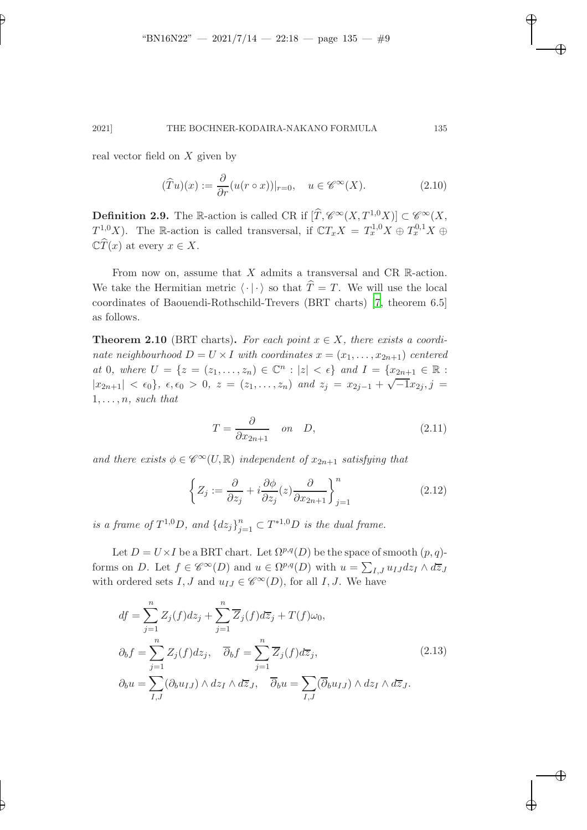real vector field on X given by

✐

✐

$$
(\widehat{T}u)(x) := \frac{\partial}{\partial r}(u(r \circ x))|_{r=0}, \quad u \in \mathscr{C}^{\infty}(X). \tag{2.10}
$$

**Definition 2.9.** The R-action is called CR if  $[\widehat{T}, \mathscr{C}^{\infty}(X, T^{1,0}X)] \subset \mathscr{C}^{\infty}(X,$  $T^{1,0}_{\alpha}X$ ). The R-action is called transversal, if  $\mathbb{C}T_xX = T^{1,0}_xX \oplus T^{0,1}_xX \oplus$  $\mathbb{C}\widehat{T}(x)$  at every  $x \in X$ .

From now on, assume that  $X$  admits a transversal and CR R-action. We take the Hermitian metric  $\langle \cdot | \cdot \rangle$  so that  $\hat{T} = T$ . We will use the local coordinates of Baouendi-Rothschild-Trevers (BRT charts) [\[7](#page-36-7), theorem 6.5] as follows.

**Theorem 2.10** (BRT charts). For each point  $x \in X$ , there exists a coordinate neighbourhood  $D = U \times I$  with coordinates  $x = (x_1, \ldots, x_{2n+1})$  centered at 0, where  $U = \{z = (z_1, \ldots, z_n) \in \mathbb{C}^n : |z| < \epsilon\}$  and  $I = \{x_{2n+1} \in \mathbb{R} : |z| < \epsilon\}$  $|x_{2n+1}| < \epsilon_0$ ,  $\epsilon, \epsilon_0 > 0$ ,  $z = (z_1, \ldots, z_n)$  and  $z_j = x_{2j-1} + \sqrt{-1}x_{2j}$ ,  $j =$  $1, \ldots, n$ , such that

$$
T = \frac{\partial}{\partial x_{2n+1}} \quad on \quad D,\tag{2.11}
$$

and there exists  $\phi \in \mathscr{C}^{\infty}(U,\mathbb{R})$  independent of  $x_{2n+1}$  satisfying that

$$
\left\{ Z_j := \frac{\partial}{\partial z_j} + i \frac{\partial \phi}{\partial z_j}(z) \frac{\partial}{\partial x_{2n+1}} \right\}_{j=1}^n \tag{2.12}
$$

is a frame of  $T^{1,0}D$ , and  ${dz_j}_{j=1}^n \subset T^{*1,0}D$  is the dual frame.

Let  $D = U \times I$  be a BRT chart. Let  $\Omega^{p,q}(D)$  be the space of smooth  $(p, q)$ forms on D. Let  $f \in \mathscr{C}^{\infty}(D)$  and  $u \in \Omega^{p,q}(D)$  with  $u = \sum_{I,J} u_{IJ} dz_I \wedge d\overline{z}_J$ with ordered sets I, J and  $u_{IJ} \in \mathscr{C}^{\infty}(D)$ , for all I, J. We have

$$
df = \sum_{j=1}^{n} Z_j(f) dz_j + \sum_{j=1}^{n} \overline{Z}_j(f) d\overline{z}_j + T(f)\omega_0,
$$
  
\n
$$
\partial_b f = \sum_{j=1}^{n} Z_j(f) dz_j, \quad \overline{\partial}_b f = \sum_{j=1}^{n} \overline{Z}_j(f) d\overline{z}_j,
$$
  
\n
$$
\partial_b u = \sum_{I,J} (\partial_b u_{IJ}) \wedge dz_I \wedge d\overline{z}_J, \quad \overline{\partial}_b u = \sum_{I,J} (\overline{\partial}_b u_{IJ}) \wedge dz_I \wedge d\overline{z}_J.
$$
\n(2.13)

✐

✐

✐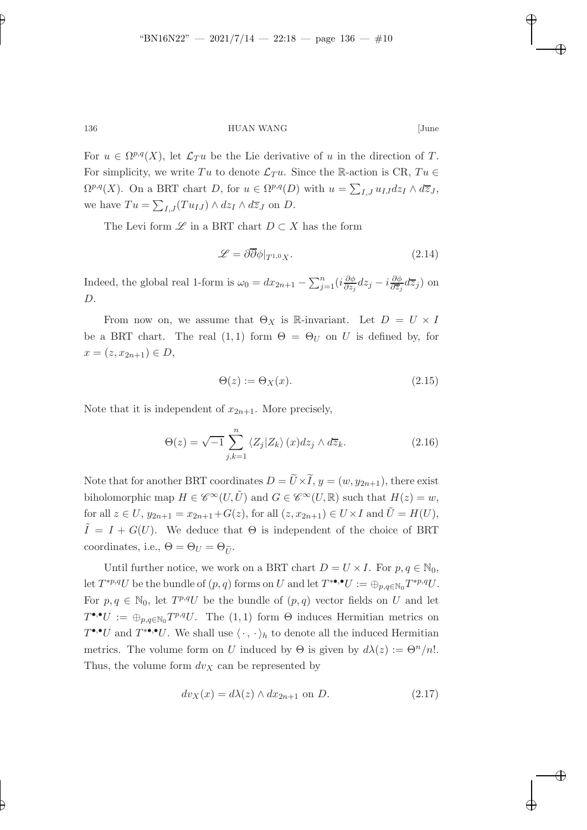✐

# 136 HUAN WANG [June

For  $u \in \Omega^{p,q}(X)$ , let  $\mathcal{L}_T u$  be the Lie derivative of u in the direction of T. For simplicity, we write Tu to denote  $\mathcal{L}_T u$ . Since the R-action is CR, Tu  $\in$  $\Omega^{p,q}(X)$ . On a BRT chart D, for  $u \in \Omega^{p,q}(D)$  with  $u = \sum_{I,J} u_{IJ} dz_I \wedge d\overline{z}_J$ , we have  $Tu = \sum_{I,J}(Tu_{IJ}) \wedge dz_I \wedge d\overline{z}_J$  on  $D$ .

The Levi form  $\mathscr L$  in a BRT chart  $D \subset X$  has the form

$$
\mathscr{L} = \partial \overline{\partial} \phi|_{T^{1,0}X}.\tag{2.14}
$$

✐

✐

✐

✐

Indeed, the global real 1-form is  $\omega_0 = dx_{2n+1} - \sum_{j=1}^n (i \frac{\partial \phi_j}{\partial z_j} + j \frac{\partial \phi_j}{\partial z_j})$  $\frac{\partial \phi}{\partial z_j} dz_j - i \frac{\partial \phi}{\partial \overline{z}_j}$  $\frac{\partial \varphi}{\partial \overline{z}_j} d\overline{z}_j$ ) on  $D$ .

From now on, we assume that  $\Theta_X$  is R-invariant. Let  $D = U \times I$ be a BRT chart. The real  $(1,1)$  form  $\Theta = \Theta_U$  on U is defined by, for  $x = (z, x_{2n+1}) \in D$ ,

$$
\Theta(z) := \Theta_X(x). \tag{2.15}
$$

Note that it is independent of  $x_{2n+1}$ . More precisely,

$$
\Theta(z) = \sqrt{-1} \sum_{j,k=1}^{n} \langle Z_j | Z_k \rangle (x) dz_j \wedge d\overline{z}_k.
$$
 (2.16)

Note that for another BRT coordinates  $D = \tilde{U} \times \tilde{I}$ ,  $y = (w, y_{2n+1})$ , there exist biholomorphic map  $H \in \mathscr{C}^{\infty}(U, \tilde{U})$  and  $G \in \mathscr{C}^{\infty}(U, \mathbb{R})$  such that  $H(z) = w$ , for all  $z \in U$ ,  $y_{2n+1} = x_{2n+1}+G(z)$ , for all  $(z, x_{2n+1}) \in U \times I$  and  $\tilde{U} = H(U)$ ,  $\tilde{I} = I + G(U)$ . We deduce that  $\Theta$  is independent of the choice of BRT coordinates, i.e.,  $\Theta = \Theta_U = \Theta_{\tilde{U}}$ .

Until further notice, we work on a BRT chart  $D = U \times I$ . For  $p, q \in \mathbb{N}_0$ , let  $T^{*p,q}U$  be the bundle of  $(p,q)$  forms on U and let  $T^{*\bullet,\bullet}U := \bigoplus_{p,q\in\mathbb{N}_0} T^{*p,q}U$ . For  $p, q \in \mathbb{N}_0$ , let  $T^{p,q}U$  be the bundle of  $(p, q)$  vector fields on U and let  $T^{\bullet,\bullet}U := \bigoplus_{p,q \in \mathbb{N}_0} T^{p,q}U$ . The  $(1,1)$  form  $\Theta$  induces Hermitian metrics on  $T^{\bullet,\bullet}U$  and  $T^{*\bullet,\bullet}U$ . We shall use  $\langle \cdot, \cdot \rangle_h$  to denote all the induced Hermitian metrics. The volume form on U induced by  $\Theta$  is given by  $d\lambda(z) := \Theta^n/n!$ . Thus, the volume form  $dv_X$  can be represented by

$$
dv_X(x) = d\lambda(z) \wedge dx_{2n+1} \text{ on } D. \tag{2.17}
$$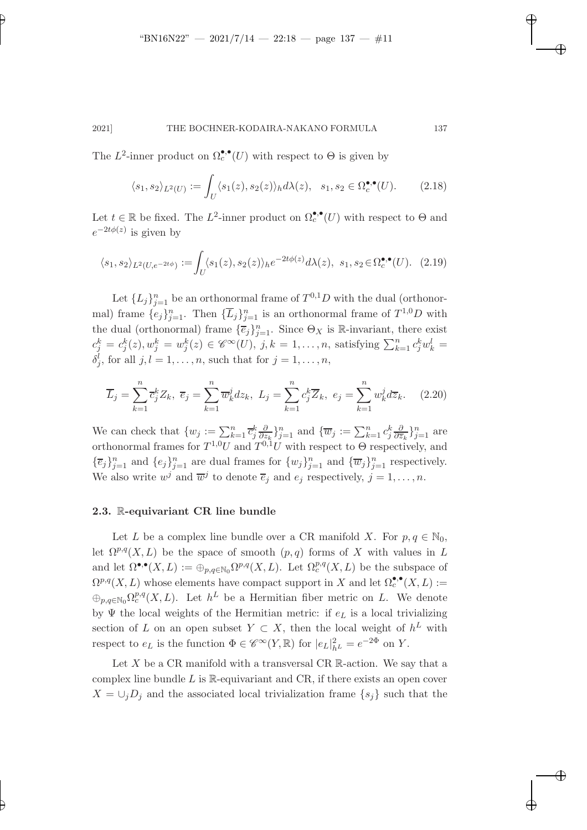✐

✐

✐

### 2021] THE BOCHNER-KODAIRA-NAKANO FORMULA 137

The  $L^2$ -inner product on  $\Omega_c^{\bullet,\bullet}(U)$  with respect to  $\Theta$  is given by

✐

✐

$$
\langle s_1, s_2 \rangle_{L^2(U)} := \int_U \langle s_1(z), s_2(z) \rangle_h d\lambda(z), \quad s_1, s_2 \in \Omega_c^{\bullet, \bullet}(U). \tag{2.18}
$$

Let  $t \in \mathbb{R}$  be fixed. The  $L^2$ -inner product on  $\Omega_c^{\bullet,\bullet}(U)$  with respect to  $\Theta$  and  $e^{-2t\phi(z)}$  is given by

$$
\langle s_1, s_2 \rangle_{L^2(U, e^{-2t\phi})} := \int_U \langle s_1(z), s_2(z) \rangle_h e^{-2t\phi(z)} d\lambda(z), \ s_1, s_2 \in \Omega_c^{\bullet, \bullet}(U). \tag{2.19}
$$

Let  $\{L_j\}_{j=1}^n$  be an orthonormal frame of  $T^{0,1}D$  with the dual (orthonormal) frame  $\{e_j\}_{j=1}^n$ . Then  $\{\overline{L}_j\}_{j=1}^n$  is an orthonormal frame of  $T^{1,0}D$  with the dual (orthonormal) frame  $\{\overline{e}_j\}_{j=1}^n$ . Since  $\Theta_X$  is R-invariant, there exist  $c_j^k = c_j^k(z), w_j^k = w_j^k(z) \in \mathscr{C}^\infty(U)$ ,  $j, k = 1, \ldots, n$ , satisfying  $\sum_{k=1}^n c_j^k w_k^l =$  $\delta_j^l$ , for all  $j, l = 1, \ldots, n$ , such that for  $j = 1, \ldots, n$ ,

<span id="page-10-0"></span>
$$
\overline{L}_j = \sum_{k=1}^n \overline{c}_j^k Z_k, \ \overline{e}_j = \sum_{k=1}^n \overline{w}_k^j dz_k, \ L_j = \sum_{k=1}^n c_j^k \overline{Z}_k, \ e_j = \sum_{k=1}^n w_k^j d\overline{z}_k. \tag{2.20}
$$

We can check that  $\{w_j := \sum_{k=1}^n \overline{c}_j^k \frac{\partial}{\partial z}$  $\frac{\partial}{\partial z_k}\}_{j=1}^n$  and  $\{\overline{w}_j := \sum_{k=1}^n c_j^k \frac{\partial}{\partial \overline{z}_k}$  $\frac{\partial}{\partial \overline{z}_k}$ }<sup>n</sup><sub>j=1</sub> are orthonormal frames for  $T^{1,0}U$  and  $T^{0,1}U$  with respect to  $\Theta$  respectively, and  $\{\overline{e}_j\}_{j=1}^n$  and  $\{e_j\}_{j=1}^n$  are dual frames for  $\{w_j\}_{j=1}^n$  and  $\{\overline{w}_j\}_{j=1}^n$  respectively. We also write  $w^j$  and  $\overline{w}^j$  to denote  $\overline{e}_j$  and  $e_j$  respectively,  $j = 1, \ldots, n$ .

#### 2.3. R-equivariant CR line bundle

Let L be a complex line bundle over a CR manifold X. For  $p, q \in \mathbb{N}_0$ , let  $\Omega^{p,q}(X,L)$  be the space of smooth  $(p,q)$  forms of X with values in L and let  $\Omega^{\bullet,\bullet}(X,L) := \bigoplus_{p,q \in \mathbb{N}_0} \Omega^{p,q}(X,L)$ . Let  $\Omega_c^{p,q}(X,L)$  be the subspace of  $\Omega^{p,q}(X,L)$  whose elements have compact support in X and let  $\Omega_c^{\bullet,\bullet}(X,L) :=$  $\bigoplus_{p,q\in\mathbb{N}_0}\Omega_c^{p,q}(X,L)$ . Let  $h^L$  be a Hermitian fiber metric on L. We denote by Ψ the local weights of the Hermitian metric: if  $e<sub>L</sub>$  is a local trivializing section of L on an open subset  $Y \subset X$ , then the local weight of  $h^L$  with respect to  $e_L$  is the function  $\Phi \in \mathscr{C}^{\infty}(Y,\mathbb{R})$  for  $|e_L|^2_{h^L} = e^{-2\Phi}$  on Y.

Let  $X$  be a CR manifold with a transversal CR  $\mathbb{R}$ -action. We say that a complex line bundle  $L$  is  $\mathbb{R}$ -equivariant and CR, if there exists an open cover  $X = \bigcup_{i} D_i$  and the associated local trivialization frame  $\{s_i\}$  such that the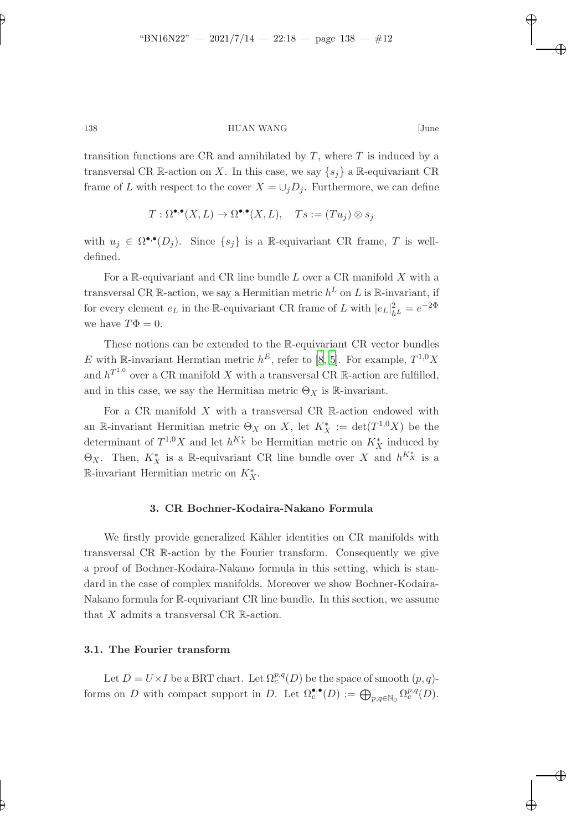✐

✐

✐

138 HUAN WANG [June

transition functions are CR and annihilated by  $T$ , where  $T$  is induced by a transversal CR R-action on X. In this case, we say  $\{s_i\}$  a R-equivariant CR frame of L with respect to the cover  $X = \bigcup_j D_j$ . Furthermore, we can define

$$
T: \Omega^{\bullet,\bullet}(X,L) \to \Omega^{\bullet,\bullet}(X,L), \quad Ts := (Tu_j) \otimes s_j
$$

with  $u_j \in \Omega^{\bullet,\bullet}(D_j)$ . Since  $\{s_j\}$  is a R-equivariant CR frame, T is welldefined.

For a  $\mathbb{R}$ -equivariant and CR line bundle  $L$  over a CR manifold  $X$  with a transversal CR R-action, we say a Hermitian metric  $h^L$  on L is R-invariant, if for every element  $e_L$  in the R-equivariant CR frame of L with  $|e_L|^2_{h^L} = e^{-2\Phi}$ we have  $T\Phi = 0$ .

These notions can be extended to the R-equivariant CR vector bundles E with R-invariant Hermtian metric  $h^E$ , refer to [\[8,](#page-36-8) [5\]](#page-36-6). For example,  $T^{1,0}X$ and  $h^{T^{1,0}}$  over a CR manifold X with a transversal CR R-action are fulfilled, and in this case, we say the Hermitian metric  $\Theta_X$  is R-invariant.

For a CR manifold  $X$  with a transversal CR R-action endowed with an R-invariant Hermitian metric  $\Theta_X$  on X, let  $K_X^* := \det(T^{1,0}X)$  be the determinant of  $T^{1,0}X$  and let  $h^{K_X^*}$  be Hermitian metric on  $K_X^*$  induced by  $\Theta_X$ . Then,  $K_X^*$  is a R-equivariant CR line bundle over X and  $h^{K_X^*}$  is a R-invariant Hermitian metric on  $K_X^*$ .

#### 3. CR Bochner-Kodaira-Nakano Formula

We firstly provide generalized Kähler identities on CR manifolds with transversal CR R-action by the Fourier transform. Consequently we give a proof of Bochner-Kodaira-Nakano formula in this setting, which is standard in the case of complex manifolds. Moreover we show Bochner-Kodaira-Nakano formula for R-equivariant CR line bundle. In this section, we assume that  $X$  admits a transversal CR  $\mathbb R$ -action.

### 3.1. The Fourier transform

Let  $D = U \times I$  be a BRT chart. Let  $\Omega_c^{p,q}(D)$  be the space of smooth  $(p, q)$ forms on D with compact support in D. Let  $\Omega_c^{\bullet,\bullet}(D) := \bigoplus_{p,q \in \mathbb{N}_0} \Omega_c^{p,q}(D)$ .

✐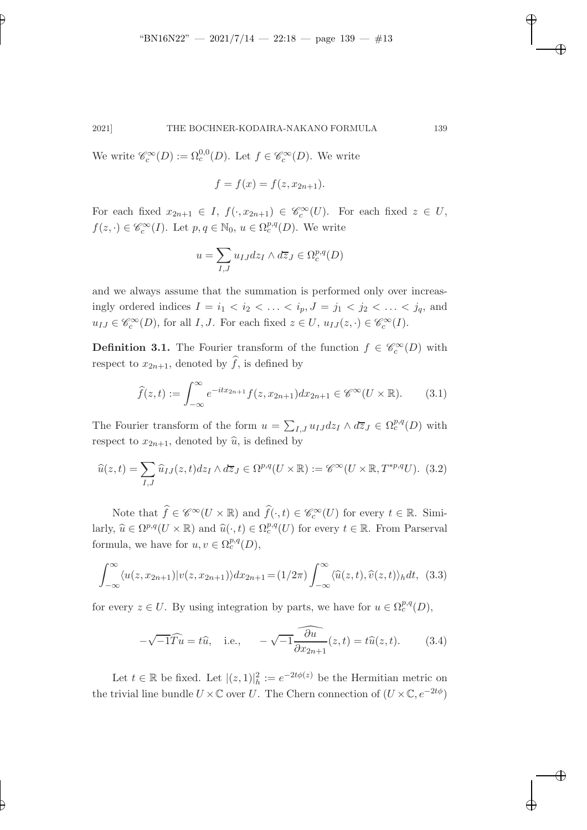We write  $\mathcal{C}_c^{\infty}(D) := \Omega_c^{0,0}(D)$ . Let  $f \in \mathcal{C}_c^{\infty}(D)$ . We write

✐

✐

$$
f = f(x) = f(z, x_{2n+1}).
$$

For each fixed  $x_{2n+1} \in I$ ,  $f(\cdot, x_{2n+1}) \in \mathscr{C}_c^{\infty}(U)$ . For each fixed  $z \in U$ ,  $f(z, \cdot) \in \mathscr{C}_c^{\infty}(I)$ . Let  $p, q \in \mathbb{N}_0$ ,  $u \in \Omega_c^{p,q}(D)$ . We write

$$
u = \sum_{I,J} u_{IJ} dz_I \wedge d\overline{z}_J \in \Omega_c^{p,q}(D)
$$

and we always assume that the summation is performed only over increasingly ordered indices  $I = i_1 < i_2 < \ldots < i_p, J = j_1 < j_2 < \ldots < j_q$ , and  $u_{IJ} \in \mathscr{C}_c^{\infty}(D)$ , for all  $I, J$ . For each fixed  $z \in U$ ,  $u_{IJ}(z, \cdot) \in \mathscr{C}_c^{\infty}(I)$ .

**Definition 3.1.** The Fourier transform of the function  $f \in \mathcal{C}_c^{\infty}(D)$  with respect to  $x_{2n+1}$ , denoted by  $\widehat{f}$ , is defined by

$$
\widehat{f}(z,t) := \int_{-\infty}^{\infty} e^{-itx_{2n+1}} f(z, x_{2n+1}) dx_{2n+1} \in \mathscr{C}^{\infty}(U \times \mathbb{R}). \tag{3.1}
$$

The Fourier transform of the form  $u = \sum_{I,J} u_{IJ} dz_I \wedge d\overline{z}_J \in \Omega_c^{p,q}(D)$  with respect to  $x_{2n+1}$ , denoted by  $\widehat{u}$ , is defined by

$$
\widehat{u}(z,t) = \sum_{I,J} \widehat{u}_{IJ}(z,t) dz_I \wedge d\overline{z}_J \in \Omega^{p,q}(U \times \mathbb{R}) := \mathscr{C}^{\infty}(U \times \mathbb{R}, T^{*p,q}U). \tag{3.2}
$$

Note that  $\widehat{f} \in \mathscr{C}^{\infty}(U \times \mathbb{R})$  and  $\widehat{f}(\cdot, t) \in \mathscr{C}_c^{\infty}(U)$  for every  $t \in \mathbb{R}$ . Similarly,  $\widehat{u} \in \Omega^{p,q}(U \times \mathbb{R})$  and  $\widehat{u}(\cdot,t) \in \Omega_c^{p,q}(U)$  for every  $t \in \mathbb{R}$ . From Parserval formula, we have for  $u, v \in \Omega_c^{p,q}(D)$ ,

$$
\int_{-\infty}^{\infty} \langle u(z, x_{2n+1}) | v(z, x_{2n+1}) \rangle dx_{2n+1} = (1/2\pi) \int_{-\infty}^{\infty} \langle \widehat{u}(z, t), \widehat{v}(z, t) \rangle_h dt, (3.3)
$$

for every  $z \in U$ . By using integration by parts, we have for  $u \in \Omega_c^{p,q}(D)$ ,

$$
-\sqrt{-1}\widehat{T}u} = t\widehat{u}, \quad \text{i.e.,} \quad -\sqrt{-1}\widehat{\frac{\partial u}{\partial x_{2n+1}}}(z,t) = t\widehat{u}(z,t). \tag{3.4}
$$

Let  $t \in \mathbb{R}$  be fixed. Let  $|(z, 1)|_h^2 := e^{-2t\phi(z)}$  be the Hermitian metric on the trivial line bundle  $U \times \mathbb{C}$  over U. The Chern connection of  $(U \times \mathbb{C}, e^{-2t\phi})$ 

✐

✐

✐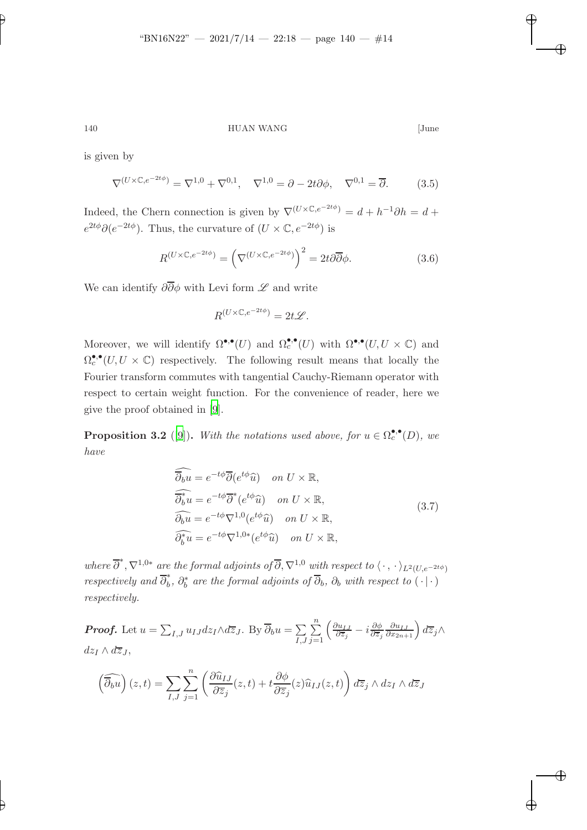✐

140 HUAN WANG [June

✐

✐

✐

✐

is given by

 $\nabla^{(U \times \mathbb{C}, e^{-2t\phi})} = \nabla^{1,0} + \nabla^{0,1}, \quad \nabla^{1,0} = \partial - 2t\partial\phi, \quad \nabla^{0,1} = \overline{\partial}.$  (3.5)

Indeed, the Chern connection is given by  $\nabla^{(U \times \mathbb{C}, e^{-2t\phi})} = d + h^{-1}\partial h = d +$  $e^{2t\phi}\partial(e^{-2t\phi})$ . Thus, the curvature of  $(U \times \mathbb{C}, e^{-2t\phi})$  is

$$
R^{(U \times \mathbb{C}, e^{-2t\phi})} = \left(\nabla^{(U \times \mathbb{C}, e^{-2t\phi})}\right)^2 = 2t\partial\overline{\partial}\phi.
$$
\n(3.6)

We can identify  $\partial \overline{\partial} \phi$  with Levi form  $\mathscr L$  and write

$$
R^{(U \times \mathbb{C}, e^{-2t\phi})} = 2t\mathscr{L}.
$$

Moreover, we will identify  $\Omega^{\bullet,\bullet}(U)$  and  $\Omega_c^{\bullet,\bullet}(U)$  with  $\Omega^{\bullet,\bullet}(U, U \times \mathbb{C})$  and  $\Omega_c^{\bullet,\bullet}(U, U \times \mathbb{C})$  respectively. The following result means that locally the Fourier transform commutes with tangential Cauchy-Riemann operator with respect to certain weight function. For the convenience of reader, here we give the proof obtained in [\[9\]](#page-36-4).

<span id="page-13-0"></span>**Proposition 3.2** ([\[9\]](#page-36-4)). With the notations used above, for  $u \in \Omega_c^{\bullet,\bullet}(D)$ , we have

$$
\widehat{\partial_b u} = e^{-t\phi} \overline{\partial} (e^{t\phi} \widehat{u}) \quad on \ U \times \mathbb{R},
$$
  
\n
$$
\widehat{\partial_b^* u} = e^{-t\phi} \overline{\partial}^* (e^{t\phi} \widehat{u}) \quad on \ U \times \mathbb{R},
$$
  
\n
$$
\widehat{\partial_b u} = e^{-t\phi} \nabla^{1,0} (e^{t\phi} \widehat{u}) \quad on \ U \times \mathbb{R},
$$
  
\n
$$
\widehat{\partial_b^* u} = e^{-t\phi} \nabla^{1,0*} (e^{t\phi} \widehat{u}) \quad on \ U \times \mathbb{R},
$$
\n(3.7)

where  $\overline{\partial}^*, \nabla^{1,0*}$  are the formal adjoints of  $\overline{\partial}, \nabla^{1,0}$  with respect to  $\langle \cdot, \cdot \rangle_{L^2(U, e^{-2t\phi})}$ respectively and  $\overline{\partial}_b^*, \partial_b^*$  are the formal adjoints of  $\overline{\partial}_b$ ,  $\partial_b$  with respect to  $(\cdot | \cdot)$ respectively.

**Proof.** Let  $u = \sum_{I,J} u_{IJ} dz_I \wedge d\overline{z}_J$ . By  $\overline{\partial}_b u = \sum_{I,J} u_{IJ} dz_I \wedge d\overline{z}_J$ . I,J  $\sum_{n=1}^{\infty}$  $j=1$  $\int$  ∂u<sub>IJ</sub>  $\frac{\partial u_{IJ}}{\partial \overline{z}_j} - i \frac{\partial \phi}{\partial \overline{z}_j}$  $\partial \overline{z}_j$  $\frac{\partial u_{IJ}}{\partial x_{2n+1}}\right) d\overline{z}_j\wedge$  $dz_I \wedge d\overline{z}_J$ ,

$$
\left(\widehat{\overline{\partial_b u}}\right)(z,t) = \sum_{I,J} \sum_{j=1}^n \left(\frac{\partial \widehat{u}_{IJ}}{\partial \overline{z}_j}(z,t) + t \frac{\partial \phi}{\partial \overline{z}_j}(z) \widehat{u}_{IJ}(z,t)\right) d\overline{z}_j \wedge dz_I \wedge d\overline{z}_J
$$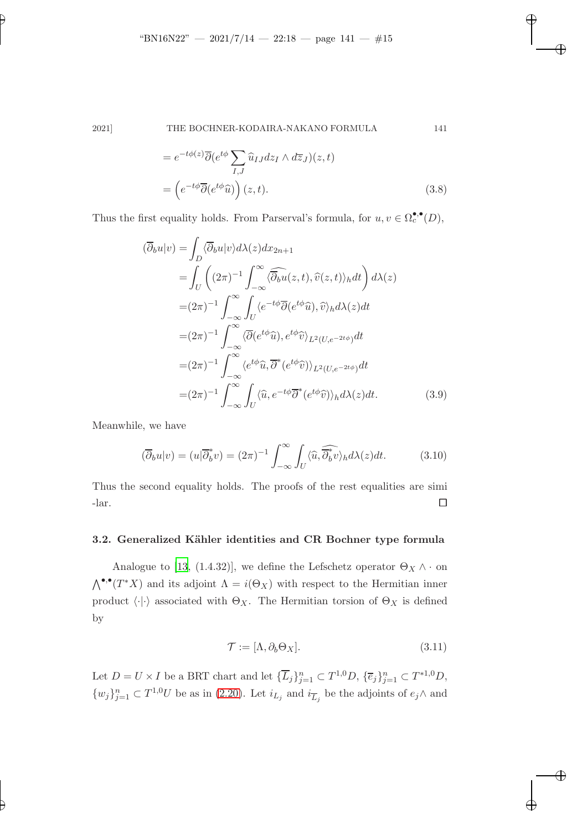✐

# 2021] THE BOCHNER-KODAIRA-NAKANO FORMULA 141

$$
= e^{-t\phi(z)}\overline{\partial}(e^{t\phi}\sum_{I,J}\widehat{u}_{IJ}dz_I \wedge d\overline{z}_J)(z,t)
$$

$$
= \left(e^{-t\phi}\overline{\partial}(e^{t\phi}\widehat{u})\right)(z,t).
$$
(3.8)

Thus the first equality holds. From Parserval's formula, for  $u, v \in \Omega_c^{\bullet,\bullet}(D)$ ,

$$
(\overline{\partial}_b u|v) = \int_D \langle \overline{\partial}_b u|v \rangle d\lambda(z) dx_{2n+1}
$$
  
\n
$$
= \int_U \left( (2\pi)^{-1} \int_{-\infty}^{\infty} \langle \overline{\partial}_b u(z,t), \widehat{v}(z,t) \rangle_h dt \right) d\lambda(z)
$$
  
\n
$$
= (2\pi)^{-1} \int_{-\infty}^{\infty} \int_U \langle e^{-t\phi} \overline{\partial} (e^{t\phi} \widehat{u}), \widehat{v} \rangle_h d\lambda(z) dt
$$
  
\n
$$
= (2\pi)^{-1} \int_{-\infty}^{\infty} \langle \overline{\partial} (e^{t\phi} \widehat{u}), e^{t\phi} \widehat{v} \rangle_{L^2(U, e^{-2t\phi})} dt
$$
  
\n
$$
= (2\pi)^{-1} \int_{-\infty}^{\infty} \langle e^{t\phi} \widehat{u}, \overline{\partial}^*(e^{t\phi} \widehat{v}) \rangle_{L^2(U, e^{-2t\phi})} dt
$$
  
\n
$$
= (2\pi)^{-1} \int_{-\infty}^{\infty} \int_U \langle \widehat{u}, e^{-t\phi} \overline{\partial}^*(e^{t\phi} \widehat{v}) \rangle_h d\lambda(z) dt.
$$
 (3.9)

Meanwhile, we have

$$
(\overline{\partial}_b u|v) = (u|\overline{\partial}_b^* v) = (2\pi)^{-1} \int_{-\infty}^{\infty} \int_U \langle \widehat{u}, \widehat{\overline{\partial}_b^* v} \rangle_h d\lambda(z) dt.
$$
 (3.10)

Thus the second equality holds. The proofs of the rest equalities are simi  $\Box$ 

# 3.2. Generalized Kähler identities and CR Bochner type formula

Analogue to [\[13](#page-37-4), (1.4.32)], we define the Lefschetz operator  $\Theta_X \wedge \cdot$  on  $\bigwedge^{\bullet,\bullet}(T^*X)$  and its adjoint  $\Lambda = i(\Theta_X)$  with respect to the Hermitian inner product  $\langle \cdot | \cdot \rangle$  associated with  $\Theta_X$ . The Hermitian torsion of  $\Theta_X$  is defined by

$$
\mathcal{T} := [\Lambda, \partial_b \Theta_X]. \tag{3.11}
$$

Let  $D = U \times I$  be a BRT chart and let  ${\{\overline{L}_j\}}_{j=1}^n \subset T^{1,0}D$ ,  ${\{\overline{e}_j\}}_{j=1}^n \subset T^{*1,0}D$ ,  $\{w_j\}_{j=1}^n \subset T^{1,0}U$  be as in [\(2.20\)](#page-10-0). Let  $i_{L_j}$  and  $i_{\overline{L}_j}$  be the adjoints of  $e_j \wedge$  and

✐

✐

✐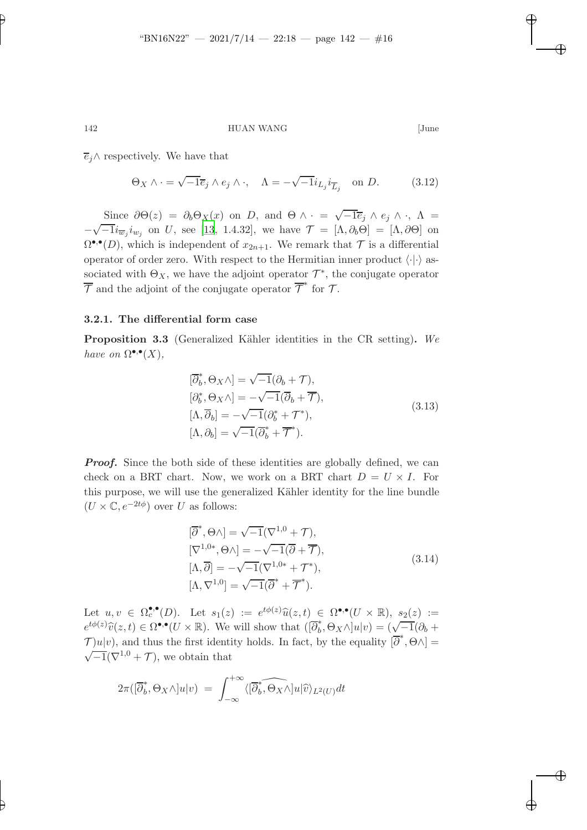142 HUAN WANG [June

✐

✐

✐

✐

 $\overline{e}_i \wedge$  respectively. We have that

$$
\Theta_X \wedge \cdot = \sqrt{-1} \overline{e}_j \wedge e_j \wedge \cdot, \quad \Lambda = - \sqrt{-1} i_{L_j} i_{\overline{L}_j} \quad \text{on } D. \tag{3.12}
$$

Since  $\partial \Theta(z) = \partial_b \Theta_X(x)$  on D, and  $\Theta \wedge \cdot = \sqrt{-1} \overline{e}_j \wedge e_j \wedge \cdot$ ,  $\Lambda =$ −  $\sqrt{-1}i_{\overline{w}_j}i_{w_j}$  on U, see [\[13](#page-37-4), 1.4.32], we have  $\mathcal{T} = [\Lambda, \partial_{\theta}\Theta] = [\Lambda, \partial\Theta]$  on  $\Omega^{\bullet,\bullet}(D)$ , which is independent of  $x_{2n+1}$ . We remark that  $\mathcal T$  is a differential operator of order zero. With respect to the Hermitian inner product  $\langle \cdot | \cdot \rangle$  associated with  $\Theta_X$ , we have the adjoint operator  $\mathcal{T}^*$ , the conjugate operator  $\overline{\mathcal{T}}$  and the adjoint of the conjugate operator  $\overline{\mathcal{T}}^*$  for  $\mathcal{T}$ .

# <span id="page-15-0"></span>3.2.1. The differential form case

**Proposition 3.3** (Generalized Kähler identities in the CR setting). We have on  $\Omega^{\bullet,\bullet}(X)$ ,

$$
[\overline{\partial}_b^*, \Theta_X \wedge] = \sqrt{-1}(\partial_b + \mathcal{T}),
$$
  
\n
$$
[\partial_b^*, \Theta_X \wedge] = -\sqrt{-1}(\overline{\partial}_b + \overline{\mathcal{T}}),
$$
  
\n
$$
[\Lambda, \overline{\partial}_b] = -\sqrt{-1}(\partial_b^* + \mathcal{T}^*),
$$
  
\n
$$
[\Lambda, \partial_b] = \sqrt{-1}(\overline{\partial}_b^* + \overline{\mathcal{T}}^*).
$$
\n(3.13)

**Proof.** Since the both side of these identities are globally defined, we can check on a BRT chart. Now, we work on a BRT chart  $D = U \times I$ . For this purpose, we will use the generalized Kähler identity for the line bundle  $(U \times \mathbb{C}, e^{-2t\phi})$  over U as follows:

$$
[\overline{\partial}^*, \Theta \wedge] = \sqrt{-1} (\nabla^{1,0} + \mathcal{T}),
$$
  
\n
$$
[\nabla^{1,0*}, \Theta \wedge] = -\sqrt{-1} (\overline{\partial} + \overline{\mathcal{T}}),
$$
  
\n
$$
[\Lambda, \overline{\partial}] = -\sqrt{-1} (\nabla^{1,0*} + \mathcal{T}^*),
$$
  
\n
$$
[\Lambda, \nabla^{1,0}] = \sqrt{-1} (\overline{\partial}^* + \overline{\mathcal{T}}^*).
$$
\n(3.14)

Let  $u, v \in \Omega_c^{\bullet,\bullet}(D)$ . Let  $s_1(z) := e^{t\phi(z)}\widehat{u}(z,t) \in \Omega^{\bullet,\bullet}(U \times \mathbb{R}), s_2(z) :=$  $e^{t\phi(z)}\widehat{v}(z,t) \in \Omega^{\bullet,\bullet}(U \times \mathbb{R})$ . We will show that  $([\overline{\partial}_b^*, \Theta_X \wedge ]u|v) = (\sqrt{-1}(\partial_b +$  $\mathcal{T}$ )u|v), and thus the first identity holds. In fact, by the equality  $[\overline{\partial}^*, \Theta \wedge] =$  $\sqrt{-1}(\nabla^{1,0} + \mathcal{T})$ , we obtain that

$$
2\pi([\overline{\partial}_b^*, \Theta_X \wedge]u|v) = \int_{-\infty}^{+\infty} \langle [\overline{\partial}_b^*, \overline{\Theta_X} \wedge]u|\widehat{v}\rangle_{L^2(U)}dt
$$

✐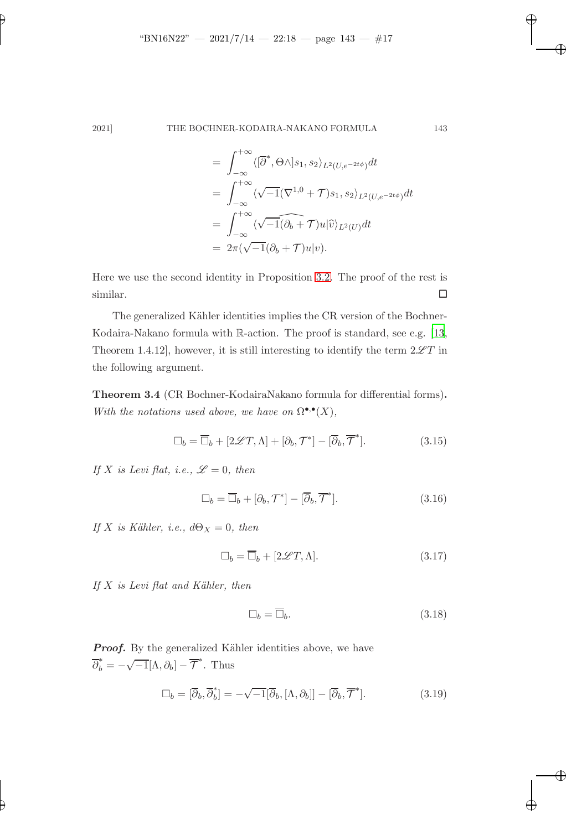$$
= \int_{-\infty}^{+\infty} \langle [\overline{\partial}^*, \Theta \wedge ]s_1, s_2 \rangle_{L^2(U, e^{-2t\phi})} dt
$$
  
\n
$$
= \int_{-\infty}^{+\infty} \langle \sqrt{-1} (\nabla^{1,0} + \mathcal{T})s_1, s_2 \rangle_{L^2(U, e^{-2t\phi})} dt
$$
  
\n
$$
= \int_{-\infty}^{+\infty} \langle \sqrt{-1} (\partial_b + \mathcal{T}) u | \widehat{v} \rangle_{L^2(U)} dt
$$
  
\n
$$
= 2\pi (\sqrt{-1} (\partial_b + \mathcal{T}) u | v).
$$

Here we use the second identity in Proposition [3.2.](#page-13-0) The proof of the rest is  $\Box$ similar.

The generalized Kähler identities implies the CR version of the Bochner-Kodaira-Nakano formula with R-action. The proof is standard, see e.g. [\[13](#page-37-4), Theorem 1.4.12], however, it is still interesting to identify the term  $2\mathscr{L}T$  in the following argument.

<span id="page-16-0"></span>Theorem 3.4 (CR Bochner-KodairaNakano formula for differential forms). With the notations used above, we have on  $\Omega^{\bullet,\bullet}(X)$ ,

$$
\Box_b = \overline{\Box}_b + [2\mathscr{L}T, \Lambda] + [\partial_b, \mathcal{T}^*] - [\overline{\partial}_b, \overline{\mathcal{T}}^*]. \tag{3.15}
$$

If X is Levi flat, i.e.,  $\mathscr{L}=0$ , then

$$
\Box_b = \overline{\Box}_b + [\partial_b, \mathcal{T}^*] - [\overline{\partial}_b, \overline{\mathcal{T}}^*]. \tag{3.16}
$$

If X is Kähler, i.e.,  $d\Theta_X = 0$ , then

$$
\Box_b = \overline{\Box}_b + [2\mathcal{L}T, \Lambda].\tag{3.17}
$$

If  $X$  is Levi flat and Kähler, then

$$
\Box_b = \overline{\Box}_b. \tag{3.18}
$$

Proof. By the generalized Kähler identities above, we have  $\overline{\partial}_b^* = -\sqrt{-1}[\Lambda, \partial_b] - \overline{\mathcal{T}}^*$ . Thus

$$
\Box_b = [\overline{\partial}_b, \overline{\partial}_b^*] = -\sqrt{-1}[\overline{\partial}_b, [\Lambda, \partial_b]] - [\overline{\partial}_b, \overline{\mathcal{T}}^*].
$$
\n(3.19)

✐

✐

✐

✐

✐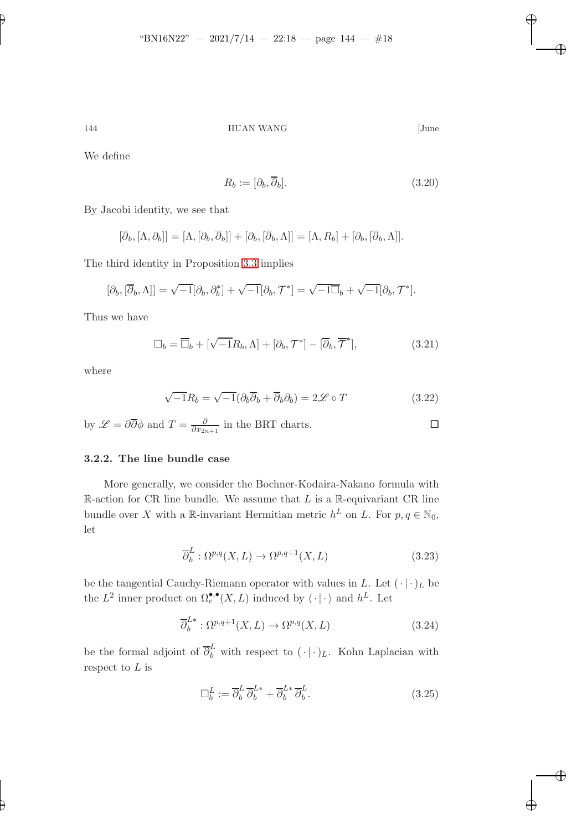✐

144 HUAN WANG [June

✐

✐

✐

✐

We define

$$
R_b := [\partial_b, \overline{\partial}_b].\tag{3.20}
$$

By Jacobi identity, we see that

$$
[\overline{\partial}_b, [\Lambda, \partial_b]] = [\Lambda, [\partial_b, \overline{\partial}_b]] + [\partial_b, [\overline{\partial}_b, \Lambda]] = [\Lambda, R_b] + [\partial_b, [\overline{\partial}_b, \Lambda]].
$$

The third identity in Proposition [3.3](#page-15-0) implies

$$
[\partial_b, [\overline{\partial}_b, \Lambda]] = \sqrt{-1}[\partial_b, \partial_b^*] + \sqrt{-1}[\partial_b, \mathcal{T}^*] = \sqrt{-1}\overline{\Box}_b + \sqrt{-1}[\partial_b, \mathcal{T}^*].
$$

Thus we have

$$
\Box_b = \overline{\Box}_b + [\sqrt{-1}R_b, \Lambda] + [\partial_b, \mathcal{T}^*] - [\overline{\partial}_b, \overline{\mathcal{T}}^*],\tag{3.21}
$$

where

$$
\sqrt{-1}R_b = \sqrt{-1}(\partial_b\overline{\partial}_b + \overline{\partial}_b\partial_b) = 2\mathscr{L} \circ T \tag{3.22}
$$

by 
$$
\mathscr{L} = \partial \overline{\partial} \phi
$$
 and  $T = \frac{\partial}{\partial x_{2n+1}}$  in the BRT charts.

# 3.2.2. The line bundle case

More generally, we consider the Bochner-Kodaira-Nakano formula with R-action for CR line bundle. We assume that  $L$  is a R-equivariant CR line bundle over X with a R-invariant Hermitian metric  $h^L$  on L. For  $p, q \in \mathbb{N}_0$ , let

$$
\overline{\partial}_b^L : \Omega^{p,q}(X, L) \to \Omega^{p,q+1}(X, L) \tag{3.23}
$$

be the tangential Cauchy-Riemann operator with values in L. Let  $(\cdot | \cdot)_L$  be the  $L^2$  inner product on  $\Omega_c^{\bullet,\bullet}(X,L)$  induced by  $\langle \cdot | \cdot \rangle$  and  $h^L$ . Let

$$
\overline{\partial}_b^{L*} : \Omega^{p,q+1}(X, L) \to \Omega^{p,q}(X, L)
$$
\n(3.24)

be the formal adjoint of  $\overline{\partial}_{b}^{L}$  with respect to  $(\cdot | \cdot)_{L}$ . Kohn Laplacian with respect to  $L$  is

$$
\Box_b^L := \overline{\partial}_b^L \, \overline{\partial}_b^{L*} + \overline{\partial}_b^{L*} \, \overline{\partial}_b^L. \tag{3.25}
$$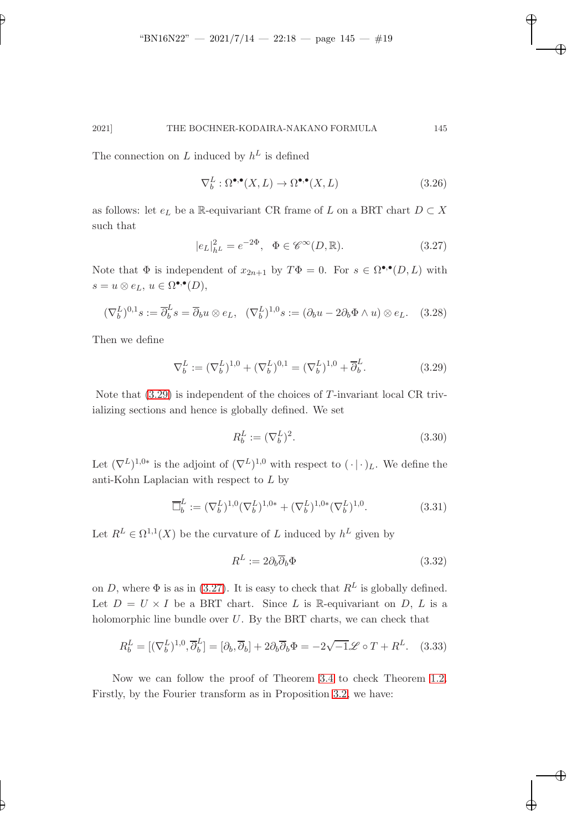The connection on L induced by  $h^L$  is defined

$$
\nabla_b^L : \Omega^{\bullet,\bullet}(X, L) \to \Omega^{\bullet,\bullet}(X, L) \tag{3.26}
$$

✐

✐

✐

✐

<span id="page-18-1"></span>as follows: let  $e_L$  be a  $\mathbb R\text{-}\mathrm{equiv}$  CR frame of  $L$  on a BRT chart  $D\subset X$ such that

$$
|e_L|^2_{h^L} = e^{-2\Phi}, \quad \Phi \in \mathscr{C}^{\infty}(D, \mathbb{R}).
$$
\n(3.27)

Note that  $\Phi$  is independent of  $x_{2n+1}$  by  $T\Phi = 0$ . For  $s \in \Omega^{\bullet,\bullet}(D, L)$  with  $s = u \otimes e_L, u \in \Omega^{\bullet,\bullet}(D),$ 

$$
(\nabla_b^L)^{0,1} s := \overline{\partial}_b^L s = \overline{\partial}_b u \otimes e_L, \quad (\nabla_b^L)^{1,0} s := (\partial_b u - 2\partial_b \Phi \wedge u) \otimes e_L. \quad (3.28)
$$

Then we define

✐

✐

<span id="page-18-0"></span>
$$
\nabla_b^L := (\nabla_b^L)^{1,0} + (\nabla_b^L)^{0,1} = (\nabla_b^L)^{1,0} + \overline{\partial}_b^L.
$$
 (3.29)

Note that  $(3.29)$  is independent of the choices of T-invariant local CR trivializing sections and hence is globally defined. We set

$$
R_b^L := (\nabla_b^L)^2. \tag{3.30}
$$

Let  $(\nabla^L)^{1,0*}$  is the adjoint of  $(\nabla^L)^{1,0}$  with respect to  $(\cdot | \cdot)_L$ . We define the anti-Kohn Laplacian with respect to L by

$$
\overline{\Box}_b^L := (\nabla_b^L)^{1,0} (\nabla_b^L)^{1,0*} + (\nabla_b^L)^{1,0*} (\nabla_b^L)^{1,0}.
$$
\n(3.31)

Let  $R^L \in \Omega^{1,1}(X)$  be the curvature of L induced by  $h^L$  given by

$$
R^L := 2\partial_b \overline{\partial}_b \Phi \tag{3.32}
$$

on D, where  $\Phi$  is as in [\(3.27\)](#page-18-1). It is easy to check that  $R^L$  is globally defined. Let  $D = U \times I$  be a BRT chart. Since L is R-equivariant on D, L is a holomorphic line bundle over  $U$ . By the BRT charts, we can check that

<span id="page-18-3"></span>
$$
R_b^L = [(\nabla_b^L)^{1,0}, \overline{\partial}_b^L] = [\partial_b, \overline{\partial}_b] + 2\partial_b \overline{\partial}_b \Phi = -2\sqrt{-1}\mathscr{L} \circ T + R^L. \quad (3.33)
$$

<span id="page-18-2"></span>Now we can follow the proof of Theorem [3.4](#page-16-0) to check Theorem [1.2.](#page-2-0) Firstly, by the Fourier transform as in Proposition [3.2,](#page-13-0) we have: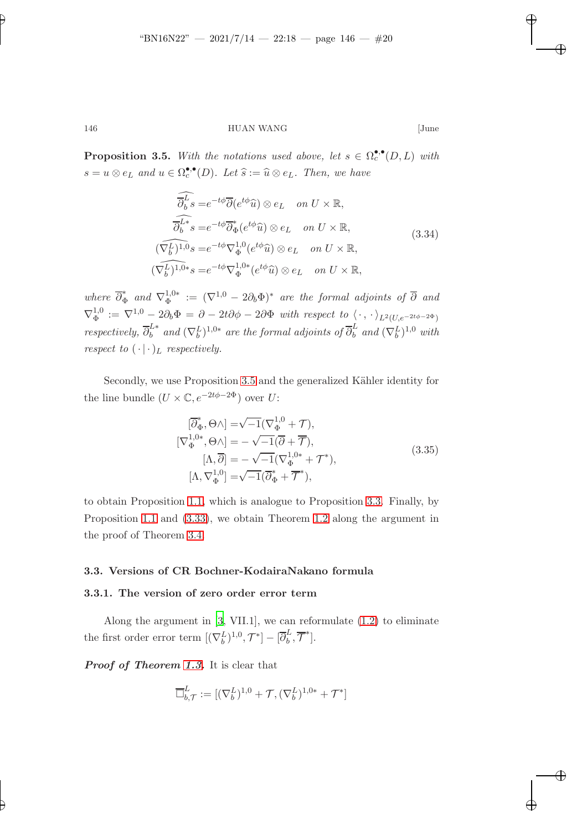✐

### 146 HUAN WANG [June

**Proposition 3.5.** With the notations used above, let  $s \in \Omega_c^{\bullet,\bullet}(D, L)$  with  $s = u \otimes e_L$  and  $u \in \Omega_c^{\bullet,\bullet}(D)$ . Let  $\widehat{s} := \widehat{u} \otimes e_L$ . Then, we have

$$
\widehat{\overline{\partial}_{b}^{L}}s = e^{-t\phi}\overline{\partial}(e^{t\phi}\widehat{u}) \otimes e_{L} \quad on \ U \times \mathbb{R},
$$
\n
$$
\widehat{\overline{\partial}_{b}^{L*}}s = e^{-t\phi}\overline{\partial}_{\Phi}^{*}(e^{t\phi}\widehat{u}) \otimes e_{L} \quad on \ U \times \mathbb{R},
$$
\n
$$
(\nabla_{b}^{L})^{1,0}s = e^{-t\phi}\nabla_{\Phi}^{1,0}(e^{t\phi}\widehat{u}) \otimes e_{L} \quad on \ U \times \mathbb{R},
$$
\n
$$
(\nabla_{b}^{L})^{1,0*}s = e^{-t\phi}\nabla_{\Phi}^{1,0*}(e^{t\phi}\widehat{u}) \otimes e_{L} \quad on \ U \times \mathbb{R},
$$
\n(3.34)

where  $\overline{\partial}_{\Phi}^*$  and  $\nabla_{\Phi}^{1,0*} := (\nabla^{1,0} - 2\partial_b \Phi)^*$  are the formal adjoints of  $\overline{\partial}$  and  $\nabla_{\Phi}^{1,0}$  $\Phi_\Phi^{1,0} := \nabla^{1,0} - 2\partial_b \Phi = \partial - 2t\partial \phi - 2\partial \Phi$  with respect to  $\langle\,\cdot\,,\,\cdot\,\rangle_{L^2(U, e^{-2t\phi-2\Phi})}$ respectively,  $\overline{\partial}_b^{L*}$  and  $(\nabla_b^L)^{1,0*}$  are the formal adjoints of  $\overline{\partial}_b^L$  and  $(\nabla_b^L)^{1,0}$  with respect to  $(\cdot | \cdot)_L$  respectively.

Secondly, we use Proposition [3.5](#page-18-2) and the generalized Kähler identity for the line bundle  $(U \times \mathbb{C}, e^{-2t\phi - 2\Phi})$  over U:

$$
[\overline{\partial}_{\Phi}^{*}, \Theta \wedge] = \sqrt{-1} (\nabla_{\Phi}^{1,0} + \mathcal{T}),
$$
  
\n
$$
[\nabla_{\Phi}^{1,0*}, \Theta \wedge] = -\sqrt{-1} (\overline{\partial} + \overline{\mathcal{T}}),
$$
  
\n
$$
[\Lambda, \overline{\partial}] = -\sqrt{-1} (\nabla_{\Phi}^{1,0*} + \mathcal{T}^{*}),
$$
  
\n
$$
[\Lambda, \nabla_{\Phi}^{1,0}] = \sqrt{-1} (\overline{\partial}_{\Phi}^{*} + \overline{\mathcal{T}}^{*}),
$$
\n(3.35)

to obtain Proposition [1.1,](#page-2-2) which is analogue to Proposition [3.3.](#page-15-0) Finally, by Proposition [1.1](#page-2-2) and [\(3.33\)](#page-18-3), we obtain Theorem [1.2](#page-2-0) along the argument in the proof of Theorem [3.4.](#page-16-0)

### 3.3. Versions of CR Bochner-KodairaNakano formula

### 3.3.1. The version of zero order error term

Along the argument in [\[3](#page-36-5), VII.1], we can reformulate [\(1.2\)](#page-2-1) to eliminate the first order error term  $[(\nabla_b^L)^{1,0}, \mathcal{T}^*] - [\overline{\partial}_b^L$  $\frac{\iota}{b}, \overline{\mathcal{T}}^*$ ].

Proof of Theorem [1.3.](#page-3-0) It is clear that

$$
\overline{\square}_{b,\mathcal{T}}^{L} := [(\nabla_b^L)^{1,0} + \mathcal{T}, (\nabla_b^L)^{1,0*} + \mathcal{T}^*]
$$

✐

✐

✐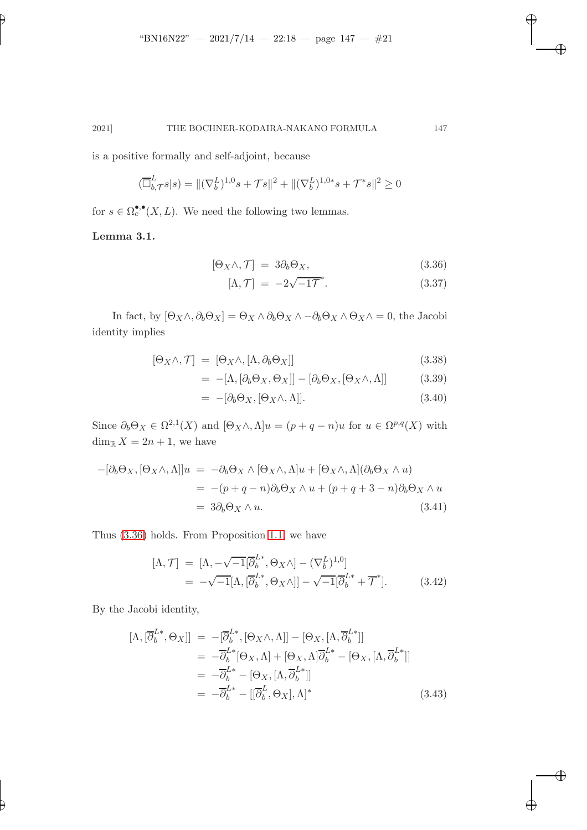is a positive formally and self-adjoint, because

$$
(\overline{\Box}_{b,\mathcal{T}}^{L}s|s) = \|(\nabla_b^{L})^{1,0}s + \mathcal{T}s\|^2 + \|(\nabla_b^{L})^{1,0*}s + \mathcal{T}^*s\|^2 \ge 0
$$

for  $s \in \Omega_c^{\bullet,\bullet}(X,L)$ . We need the following two lemmas.

Lemma 3.1.

✐

✐

<span id="page-20-0"></span>
$$
[\Theta_X \wedge, \mathcal{T}] = 3\partial_b \Theta_X, \tag{3.36}
$$

$$
[\Lambda, \mathcal{T}] = -2\sqrt{-1}\mathcal{T}^*.
$$
 (3.37)

✐

✐

✐

✐

In fact, by  $[\Theta_X \wedge, \partial_b \Theta_X] = \Theta_X \wedge \partial_b \Theta_X \wedge -\partial_b \Theta_X \wedge \Theta_X \wedge = 0$ , the Jacobi identity implies

$$
[\Theta_X \wedge, \mathcal{T}] = [\Theta_X \wedge, [\Lambda, \partial_b \Theta_X]] \tag{3.38}
$$

$$
= -[\Lambda, [\partial_b \Theta_X, \Theta_X]] - [\partial_b \Theta_X, [\Theta_X \wedge, \Lambda]] \tag{3.39}
$$

$$
= -[\partial_b \Theta_X, [\Theta_X \wedge, \Lambda]]. \tag{3.40}
$$

Since  $\partial_b \Theta_X \in \Omega^{2,1}(X)$  and  $[\Theta_X \wedge, \Lambda]u = (p+q-n)u$  for  $u \in \Omega^{p,q}(X)$  with  $\dim_{\mathbb{R}} X = 2n + 1$ , we have

$$
-[\partial_b \Theta_X, [\Theta_X \wedge, \Lambda]]u = -\partial_b \Theta_X \wedge [\Theta_X \wedge, \Lambda]u + [\Theta_X \wedge, \Lambda](\partial_b \Theta_X \wedge u)
$$
  
= -(p + q - n)\partial\_b \Theta\_X \wedge u + (p + q + 3 - n)\partial\_b \Theta\_X \wedge u  
= 3\partial\_b \Theta\_X \wedge u. (3.41)

Thus [\(3.36\)](#page-20-0) holds. From Proposition [1.1,](#page-2-2) we have

$$
[\Lambda, \mathcal{T}] = [\Lambda, -\sqrt{-1}[\overline{\partial}_b^{L*}, \Theta_X \wedge] - (\nabla_b^{L})^{1,0}]
$$
  
= -\sqrt{-1}[\Lambda, [\overline{\partial}\_b^{L\*}, \Theta\_X \wedge]] - \sqrt{-1}[\overline{\partial}\_b^{L\*} + \overline{\mathcal{T}}^\*]. \t(3.42)

By the Jacobi identity,

$$
[\Lambda, [\overline{\partial}_{b}^{L*}, \Theta_{X}]] = -[\overline{\partial}_{b}^{L*}, [\Theta_{X} \wedge, \Lambda]] - [\Theta_{X}, [\Lambda, \overline{\partial}_{b}^{L*}]]
$$
  
\n
$$
= -\overline{\partial}_{b}^{L*} [\Theta_{X}, \Lambda] + [\Theta_{X}, \Lambda] \overline{\partial}_{b}^{L*} - [\Theta_{X}, [\Lambda, \overline{\partial}_{b}^{L*}]]
$$
  
\n
$$
= -\overline{\partial}_{b}^{L*} - [\Theta_{X}, [\Lambda, \overline{\partial}_{b}^{L*}]]
$$
  
\n
$$
= -\overline{\partial}_{b}^{L*} - [[\overline{\partial}_{b}^{L}, \Theta_{X}], \Lambda]^{*}
$$
(3.43)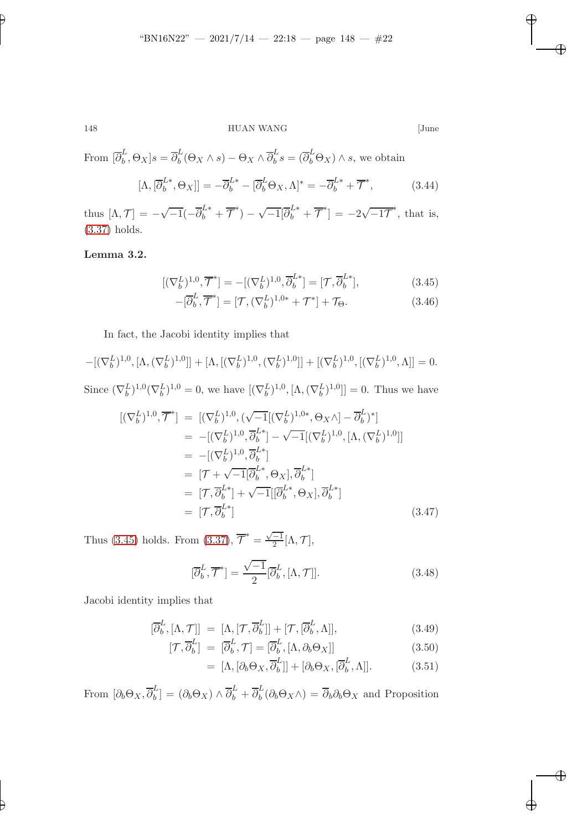✐

148 HUAN WANG [June

✐

✐

✐

✐

From  $[\overline{\partial}_b^L]$  $\overline{b}^L$ ,  $\Theta_X$ ] $s = \overline{\partial}_b^L$  $\overline{b}^L(\Theta_X \wedge s) - \Theta_X \wedge \overline{\partial}_b^L$  $\overline{b}^L s = (\overline{\partial}_b^L \Theta_X) \wedge s$ , we obtain

$$
[\Lambda, [\overline{\partial}_b^{L*}, \Theta_X]] = -\overline{\partial}_b^{L*} - [\overline{\partial}_b^L \Theta_X, \Lambda]^* = -\overline{\partial}_b^{L*} + \overline{\mathcal{T}}^*,
$$
 (3.44)

thus  $[\Lambda, \mathcal{T}] = -\sqrt{-1}(-\overline{\partial}_{b}^{L*} + \overline{\mathcal{T}}^{*}) - \sqrt{-1}[\overline{\partial}_{b}^{L*} + \overline{\mathcal{T}}^{*}] = -2\sqrt{-1}\overline{\mathcal{T}}^{*}$ , that is, [\(3.37\)](#page-20-0) holds.

# Lemma 3.2.

<span id="page-21-0"></span>
$$
[(\nabla_b^L)^{1,0}, \overline{\mathcal{T}}^*] = -[(\nabla_b^L)^{1,0}, \overline{\partial}_b^{L*}] = [\mathcal{T}, \overline{\partial}_b^{L*}],
$$
\n(3.45)

$$
-[\overline{\partial}_b^L, \overline{\mathcal{T}}^*] = [\mathcal{T}, (\nabla_b^L)^{1,0*} + \mathcal{T}^*] + \mathcal{T}_{\Theta}.
$$
 (3.46)

In fact, the Jacobi identity implies that

$$
-[(\nabla_b^L)^{1,0}, [\Lambda, (\nabla_b^L)^{1,0}]] + [\Lambda, [(\nabla_b^L)^{1,0}, (\nabla_b^L)^{1,0}]] + [(\nabla_b^L)^{1,0}, [(\nabla_b^L)^{1,0}, \Lambda]] = 0.
$$

Since  $(\nabla_b^L)^{1,0}(\nabla_b^L)^{1,0} = 0$ , we have  $[(\nabla_b^L)^{1,0}, [\Lambda, (\nabla_b^L)^{1,0}]] = 0$ . Thus we have

$$
[(\nabla_b^L)^{1,0}, \overline{\mathcal{T}}^*] = [(\nabla_b^L)^{1,0}, (\sqrt{-1}[(\nabla_b^L)^{1,0*}, \Theta_X \wedge] - \overline{\partial}_b^L)^*]
$$
  
\n
$$
= -[(\nabla_b^L)^{1,0}, \overline{\partial}_b^L^*] - \sqrt{-1}[(\nabla_b^L)^{1,0}, [\Lambda, (\nabla_b^L)^{1,0}]]
$$
  
\n
$$
= -[(\nabla_b^L)^{1,0}, \overline{\partial}_b^L^*]
$$
  
\n
$$
= [\mathcal{T} + \sqrt{-1}[\overline{\partial}_b^L, \Theta_X], \overline{\partial}_b^L^*]
$$
  
\n
$$
= [\mathcal{T}, \overline{\partial}_b^L^*] + \sqrt{-1}[(\overline{\partial}_b^L, \Theta_X], \overline{\partial}_b^L^*]
$$
  
\n
$$
= [\mathcal{T}, \overline{\partial}_b^L^*]
$$
  
\n(3.47)

Thus [\(3.45\)](#page-21-0) holds. From [\(3.37\)](#page-20-0),  $\overline{\mathcal{T}}^* = \frac{\sqrt{-1}}{2} [\Lambda, \mathcal{T}],$ 

<span id="page-21-2"></span>
$$
[\overline{\partial}_b^L, \overline{\mathcal{T}}^*] = \frac{\sqrt{-1}}{2} [\overline{\partial}_b^L, [\Lambda, \mathcal{T}]].
$$
\n(3.48)

Jacobi identity implies that

<span id="page-21-1"></span>
$$
[\overline{\partial}_b^L, [\Lambda, \mathcal{T}]] = [\Lambda, [\mathcal{T}, \overline{\partial}_b^L]] + [\mathcal{T}, [\overline{\partial}_b^L, \Lambda]], \qquad (3.49)
$$

$$
[\mathcal{T}, \overline{\partial}_b^L] = [\overline{\partial}_b^L, \mathcal{T}] = [\overline{\partial}_b^L, [\Lambda, \partial_b \Theta_X]] \tag{3.50}
$$

$$
= [\Lambda, [\partial_b \Theta_X, \overline{\partial}_b^L]] + [\partial_b \Theta_X, [\overline{\partial}_b^L, \Lambda]]. \tag{3.51}
$$

From  $\left[\partial_b \Theta_X, \overline{\partial}_b^L\right]$  $\begin{aligned} L_b^L] &= \left(\partial_b \Theta_X\right) \wedge \overline{\partial}_b^L + \overline{\partial}_b^L \end{aligned}$  $b<sub>b</sub>(\partial_b \Theta_X \wedge) = \partial_b \partial_b \Theta_X$  and Proposition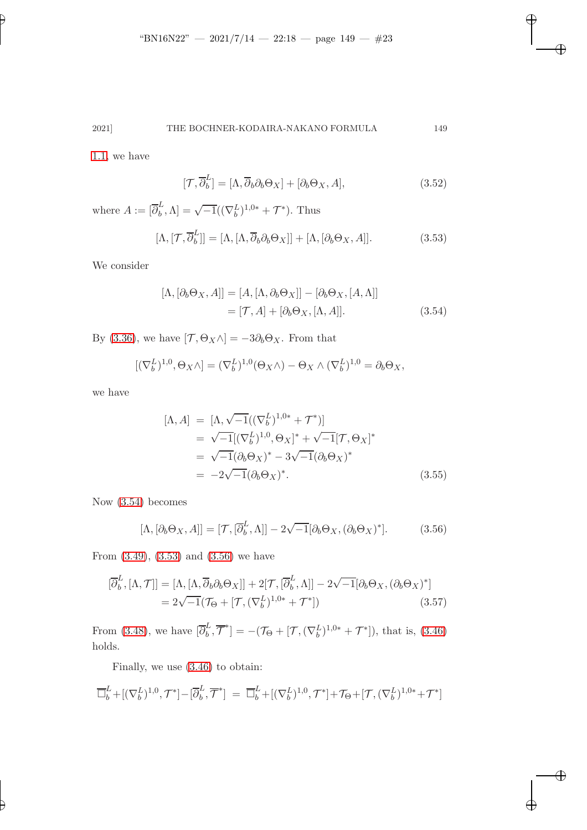2021] THE BOCHNER-KODAIRA-NAKANO FORMULA 149

[1.1,](#page-2-2) we have

✐

✐

$$
[\mathcal{T}, \overline{\partial}_b^L] = [\Lambda, \overline{\partial}_b \partial_b \Theta_X] + [\partial_b \Theta_X, A], \tag{3.52}
$$

 $\overline{\oplus}$ 

✐

✐

✐

where  $A := \left[\overline{\partial}_{b}^{L}\right]$  $\mathcal{L}_b^L, \Lambda] = \sqrt{-1}((\nabla_b^L)^{1,0*} + \mathcal{T}^*).$  Thus

<span id="page-22-1"></span>
$$
[\Lambda, [\mathcal{T}, \overline{\partial}_b^L]] = [\Lambda, [\Lambda, \overline{\partial}_b \partial_b \Theta_X]] + [\Lambda, [\partial_b \Theta_X, A]].
$$
 (3.53)

We consider

<span id="page-22-0"></span>
$$
[\Lambda, [\partial_b \Theta_X, A]] = [A, [\Lambda, \partial_b \Theta_X]] - [\partial_b \Theta_X, [A, \Lambda]]
$$

$$
= [\mathcal{T}, A] + [\partial_b \Theta_X, [\Lambda, A]]. \tag{3.54}
$$

By [\(3.36\)](#page-20-0), we have  $[\mathcal{T}, \Theta_X \wedge] = -3\partial_b \Theta_X$ . From that

$$
[(\nabla_b^L)^{1,0}, \Theta_X \wedge] = (\nabla_b^L)^{1,0} (\Theta_X \wedge) - \Theta_X \wedge (\nabla_b^L)^{1,0} = \partial_b \Theta_X,
$$

we have

$$
[\Lambda, A] = [\Lambda, \sqrt{-1}((\nabla_b^{L})^{1,0*} + \mathcal{T}^*)]
$$
  
\n
$$
= \sqrt{-1}[(\nabla_b^{L})^{1,0}, \Theta_X]^* + \sqrt{-1}[\mathcal{T}, \Theta_X]^*
$$
  
\n
$$
= \sqrt{-1}(\partial_b \Theta_X)^* - 3\sqrt{-1}(\partial_b \Theta_X)^*
$$
  
\n
$$
= -2\sqrt{-1}(\partial_b \Theta_X)^*.
$$
\n(3.55)

Now [\(3.54\)](#page-22-0) becomes

<span id="page-22-2"></span>
$$
[\Lambda, [\partial_b \Theta_X, A]] = [\mathcal{T}, [\overline{\partial}_b^L, \Lambda]] - 2\sqrt{-1}[\partial_b \Theta_X, (\partial_b \Theta_X)^*].
$$
 (3.56)

From [\(3.49\)](#page-21-1), [\(3.53\)](#page-22-1) and [\(3.56\)](#page-22-2) we have

$$
[\overline{\partial}_b^L, [\Lambda, \mathcal{T}]] = [\Lambda, [\Lambda, \overline{\partial}_b \partial_b \Theta_X]] + 2[\mathcal{T}, [\overline{\partial}_b^L, \Lambda]] - 2\sqrt{-1}[\partial_b \Theta_X, (\partial_b \Theta_X)^*]
$$
  
=  $2\sqrt{-1}(\mathcal{T}_{\Theta} + [\mathcal{T}, (\nabla_b^L)^{1,0*} + \mathcal{T}^*])$  (3.57)

From [\(3.48\)](#page-21-2), we have  $\begin{bmatrix} \overline{\partial}_{b}^{L} \end{bmatrix}$  $\mathcal{F}_{b}^{L}, \overline{\mathcal{T}}^{*}$ ] =  $-(\mathcal{T}_{\Theta} + [\mathcal{T}, (\nabla_{b}^{L})^{1,0*} + \mathcal{T}^{*}]),$  that is, [\(3.46\)](#page-21-0) holds.

Finally, we use [\(3.46\)](#page-21-0) to obtain:

$$
\overline{\Box}_b^L + [(\nabla_b^L)^{1,0}, \mathcal{T}^*] - [\overline{\partial}_b^L, \overline{\mathcal{T}}^*] = \overline{\Box}_b^L + [(\nabla_b^L)^{1,0}, \mathcal{T}^*] + \mathcal{T}_{\Theta} + [\mathcal{T}, (\nabla_b^L)^{1,0*} + \mathcal{T}^*]
$$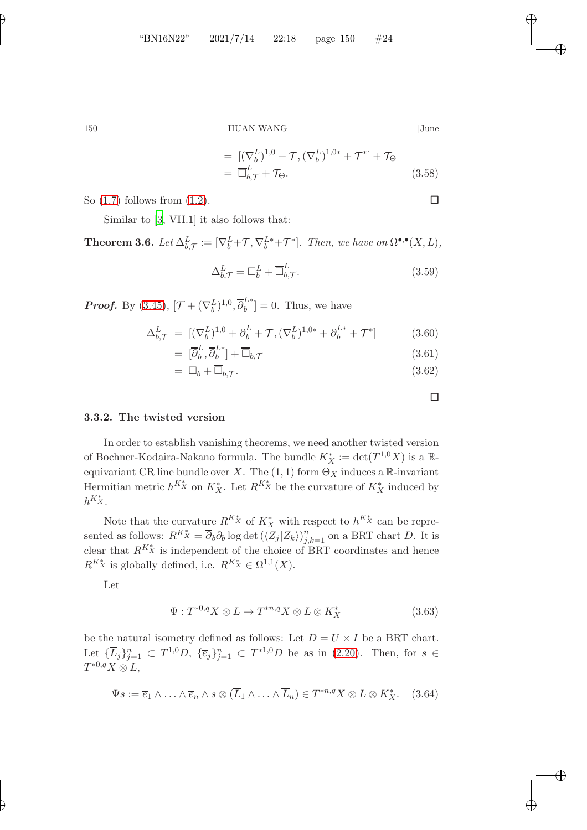$150$   $$\rm HUAN$  WANG  $$\rm HUAN$ 

$$
[June
$$

✐

✐

✐

✐

$$
= [(\nabla_b^L)^{1,0} + \mathcal{T}, (\nabla_b^L)^{1,0*} + \mathcal{T}^*] + \mathcal{T}_{\Theta}
$$
  

$$
= \overline{\Box}_{b,\mathcal{T}}^L + \mathcal{T}_{\Theta}.
$$
 (3.58)

So  $(1.7)$  follows from  $(1.2)$ .

Similar to [\[3,](#page-36-5) VII.1] it also follows that:

**Theorem 3.6.** Let  $\Delta_{b,\mathcal{T}}^L := [\nabla_b^L + \mathcal{T}, \nabla_b^L^* + \mathcal{T}^*]$ . Then, we have on  $\Omega^{\bullet,\bullet}(X,L)$ ,

$$
\Delta_{b,\mathcal{T}}^L = \Box_b^L + \overline{\Box}_{b,\mathcal{T}}^L. \tag{3.59}
$$

**Proof.** By [\(3.45\)](#page-21-0),  $[\mathcal{T} + (\nabla_b^L)^{1,0}, \overline{\partial}_b^L^*] = 0$ . Thus, we have

$$
\Delta_{b,\mathcal{T}}^{L} = \left[ (\nabla_b^L)^{1,0} + \overline{\partial}_b^L + \mathcal{T}, (\nabla_b^L)^{1,0*} + \overline{\partial}_b^{L*} + \mathcal{T}^* \right] \tag{3.60}
$$

$$
= \left[\overline{\partial}_b^L, \overline{\partial}_b^{L*}\right] + \overline{\Box}_{b,\mathcal{T}} \tag{3.61}
$$

$$
= \Box_b + \overline{\Box}_{b,\mathcal{T}}.\tag{3.62}
$$

 $\Box$ 

### 3.3.2. The twisted version

In order to establish vanishing theorems, we need another twisted version of Bochner-Kodaira-Nakano formula. The bundle  $K_X^* := \det(T^{1,0}X)$  is a  $\mathbb{R}$ equivariant CR line bundle over X. The  $(1, 1)$  form  $\Theta_X$  induces a R-invariant Hermitian metric  $h^{K_X^*}$  on  $K_X^*$ . Let  $R^{K_X^*}$  be the curvature of  $K_X^*$  induced by  $h^{K_X^*}$ .

Note that the curvature  $R^{K_{X}^{*}}$  of  $K_{X}^{*}$  with respect to  $h^{K_{X}^{*}}$  can be represented as follows:  $R^{K_{X}^{*}} = \overline{\partial}_{b} \partial_{b} \log \det (\langle Z_{j} | Z_{k} \rangle)_{j,k=1}^{n}$  on a BRT chart D. It is clear that  $R^{K_{\mathfrak{X}}^{*}}$  is independent of the choice of BRT coordinates and hence  $R^{K_X^*}$  is globally defined, i.e.  $R^{K_X^*} \in \Omega^{1,1}(X)$ .

Let

✐

$$
\Psi: T^{*0,q}X \otimes L \to T^{*n,q}X \otimes L \otimes K_X^* \tag{3.63}
$$

be the natural isometry defined as follows: Let  $D = U \times I$  be a BRT chart. Let  ${\{\overline{L}_j\}_{j=1}^n \subset T^{1,0}D, \ {\{\overline{e}_j\}_{j=1}^n \subset T^{*1,0}D \text{ be as in (2.20). Then, for } s \in$  ${\{\overline{L}_j\}_{j=1}^n \subset T^{1,0}D, \ {\{\overline{e}_j\}_{j=1}^n \subset T^{*1,0}D \text{ be as in (2.20). Then, for } s \in$  ${\{\overline{L}_j\}_{j=1}^n \subset T^{1,0}D, \ {\{\overline{e}_j\}_{j=1}^n \subset T^{*1,0}D \text{ be as in (2.20). Then, for } s \in$  $T^{*0,q}X\otimes L,$ 

$$
\Psi s := \overline{e}_1 \wedge \ldots \wedge \overline{e}_n \wedge s \otimes (\overline{L}_1 \wedge \ldots \wedge \overline{L}_n) \in T^{*n,q} X \otimes L \otimes K_X^*.
$$
 (3.64)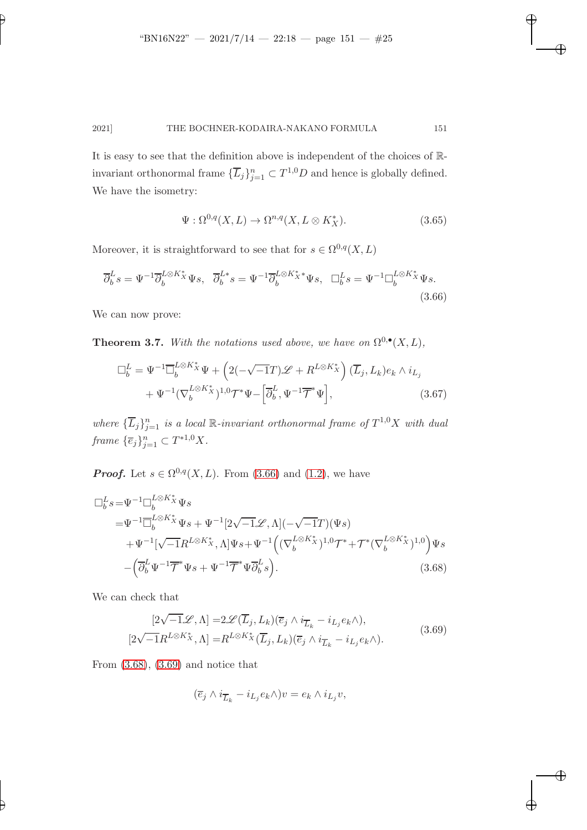It is easy to see that the definition above is independent of the choices of Rinvariant orthonormal frame  $\{\overline{L}_j\}_{j=1}^n \subset T^{1,0}D$  and hence is globally defined. We have the isometry:

<span id="page-24-3"></span><span id="page-24-0"></span>
$$
\Psi : \Omega^{0,q}(X,L) \to \Omega^{n,q}(X,L \otimes K_X^*). \tag{3.65}
$$

✐

<span id="page-24-1"></span>✐

✐

✐

Moreover, it is straightforward to see that for  $s \in \Omega^{0,q}(X,L)$ 

$$
\overline{\partial}_b^L s = \Psi^{-1} \overline{\partial}_b^{L \otimes K_X^*} \Psi s, \quad \overline{\partial}_b^{L*} s = \Psi^{-1} \overline{\partial}_b^{L \otimes K_X^*} \Psi s, \quad \Box_b^L s = \Psi^{-1} \Box_b^{L \otimes K_X^*} \Psi s. \tag{3.66}
$$

<span id="page-24-4"></span>We can now prove:

✐

✐

**Theorem 3.7.** With the notations used above, we have on  $\Omega^{0,\bullet}(X,L)$ ,

$$
\Box_b^L = \Psi^{-1} \overline{\Box}_b^{L \otimes K_X^*} \Psi + \left( 2(-\sqrt{-1}T) \mathscr{L} + R^{L \otimes K_X^*} \right) (\overline{L}_j, L_k) e_k \wedge i_{L_j} + \Psi^{-1} (\nabla_b^{L \otimes K_X^*})^{1,0} \mathcal{T}^* \Psi - \left[ \overline{\partial}_b^L, \Psi^{-1} \overline{\mathcal{T}}^* \Psi \right], \tag{3.67}
$$

where  ${\{\overline{L}_j\}_{j=1}^n}$  is a local R-invariant orthonormal frame of  $T^{1,0}X$  with dual frame  ${\{\overline{e}_j\}}_{j=1}^n \subset T^{*1,0}X$ .

**Proof.** Let  $s \in \Omega^{0,q}(X, L)$ . From [\(3.66\)](#page-24-0) and [\(1.2\)](#page-2-1), we have

$$
\Box_b^L s = \Psi^{-1} \Box_b^{L \otimes K_X^*} \Psi s \n= \Psi^{-1} \overline{\Box}_b^{L \otimes K_X^*} \Psi s + \Psi^{-1} [2\sqrt{-1} \mathcal{L}, \Lambda] (-\sqrt{-1}T) (\Psi s) \n+ \Psi^{-1} [\sqrt{-1} R^{L \otimes K_X^*}, \Lambda] \Psi s + \Psi^{-1} ((\nabla_b^{L \otimes K_X^*})^{1,0} \mathcal{T}^* + \mathcal{T}^* (\nabla_b^{L \otimes K_X^*})^{1,0}) \Psi s \n- (\overline{\partial}_b^L \Psi^{-1} \overline{\mathcal{T}}^* \Psi s + \Psi^{-1} \overline{\mathcal{T}}^* \Psi \overline{\partial}_b^L s).
$$
\n(3.68)

We can check that

<span id="page-24-2"></span>
$$
[2\sqrt{-1}\mathcal{L}, \Lambda] = 2\mathcal{L}(\overline{L}_j, L_k)(\overline{e}_j \wedge i_{\overline{L}_k} - i_{L_j}e_k \wedge),
$$
  

$$
[2\sqrt{-1}R^{L \otimes K_X^*}, \Lambda] = R^{L \otimes K_X^*}(\overline{L}_j, L_k)(\overline{e}_j \wedge i_{\overline{L}_k} - i_{L_j}e_k \wedge).
$$
 (3.69)

From [\(3.68\)](#page-24-1), [\(3.69\)](#page-24-2) and notice that

$$
(\overline{e}_j \wedge i_{\overline{L}_k} - i_{L_j} e_k \wedge)v = e_k \wedge i_{L_j} v,
$$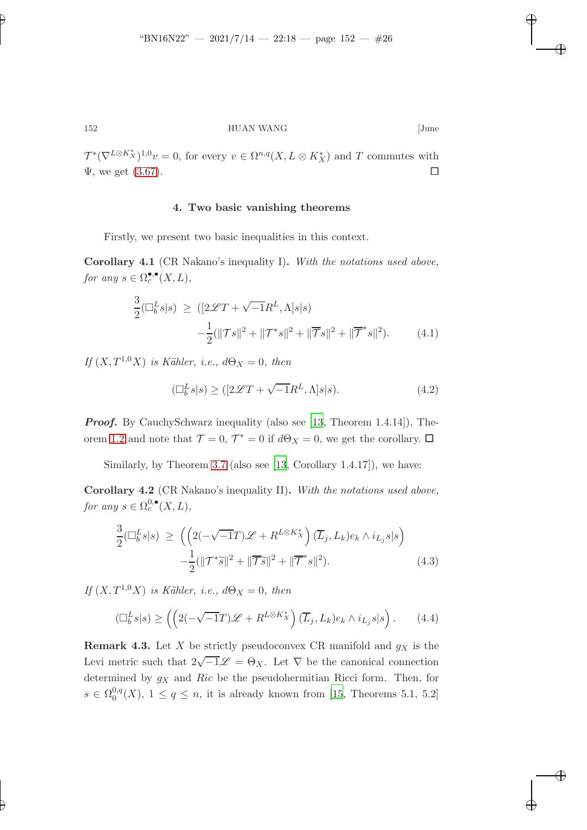✐

✐

✐

✐

✐

152 HUAN WANG [June

 $\mathcal{T}^*(\nabla^{L\otimes K_X^*})^{1,0}v=0$ , for every  $v\in \Omega^{n,q}(X,L\otimes K_X^*)$  and T commutes with  $\Psi$ , we get [\(3.67\)](#page-24-3).

### 4. Two basic vanishing theorems

<span id="page-25-1"></span>Firstly, we present two basic inequalities in this context.

Corollary 4.1 (CR Nakano's inequality I). With the notations used above, for any  $s \in \Omega_c^{\bullet,\bullet}(X,L)$ ,

$$
\frac{3}{2}(\Box_b^L s|s) \ge ( [2\mathcal{L}T + \sqrt{-1}R^L, \Lambda]s|s)
$$

$$
-\frac{1}{2}(\|\mathcal{T}s\|^2 + \|\mathcal{T}^*s\|^2 + \|\overline{\mathcal{T}}s\|^2 + \|\overline{\mathcal{T}}^*s\|^2). \tag{4.1}
$$

If  $(X, T^{1,0}X)$  is Kähler, i.e.,  $d\Theta_X = 0$ , then

$$
(\Box_b^L s|s) \ge ( [2\mathcal{L}T + \sqrt{-1}R^L, \Lambda]s|s). \tag{4.2}
$$

**Proof.** By CauchySchwarz inequality (also see [\[13](#page-37-4), Theorem 1.4.14]), The-orem [1.2](#page-2-0) and note that  $\mathcal{T} = 0$ ,  $\mathcal{T}^* = 0$  if  $d\Theta_X = 0$ , we get the corollary.  $\Box$ 

<span id="page-25-2"></span>Similarly, by Theorem [3.7](#page-24-4) (also see [\[13](#page-37-4), Corollary 1.4.17]), we have:

Corollary 4.2 (CR Nakano's inequality II). With the notations used above, for any  $s \in \Omega_c^{0,\bullet}(X,L)$ ,

$$
\frac{3}{2}(\Box_b^L s|s) \ge \left( \left( 2(-\sqrt{-1}T)\mathcal{L} + R^{L \otimes K_X^*} \right) (\overline{L}_j, L_k) e_k \wedge i_{L_j} s|s \right) \n- \frac{1}{2} (\Vert \mathcal{T}^* \tilde{s} \Vert^2 + \Vert \overline{\mathcal{T}} \tilde{s} \Vert^2 + \Vert \overline{\mathcal{T}}^* s \Vert^2). \n\tag{4.3}
$$

If  $(X, T^{1,0}X)$  is Kähler, i.e.,  $d\Theta_X = 0$ , then

<span id="page-25-0"></span>
$$
\left(\Box_b^L s | s\right) \ge \left( \left(2\left(-\sqrt{-1}T\right)\mathscr{L} + R^{L \otimes K_X^*}\right) \left(\overline{L}_j, L_k\right) e_k \wedge i_{L_j} s | s\right). \tag{4.4}
$$

**Remark 4.3.** Let X be strictly pseudoconvex CR manifold and  $g_X$  is the Levi metric such that  $2\sqrt{-1}\mathscr{L} = \Theta_X$ . Let  $\nabla$  be the canonical connection determined by  $g_X$  and Ric be the pseudohermitian Ricci form. Then, for  $s \in \Omega_0^{0,q}$  $0.9<sup>0, q</sup>(X)$ ,  $1 \leq q \leq n$ , it is already known from [\[15,](#page-37-5) Theorems 5.1, 5.2]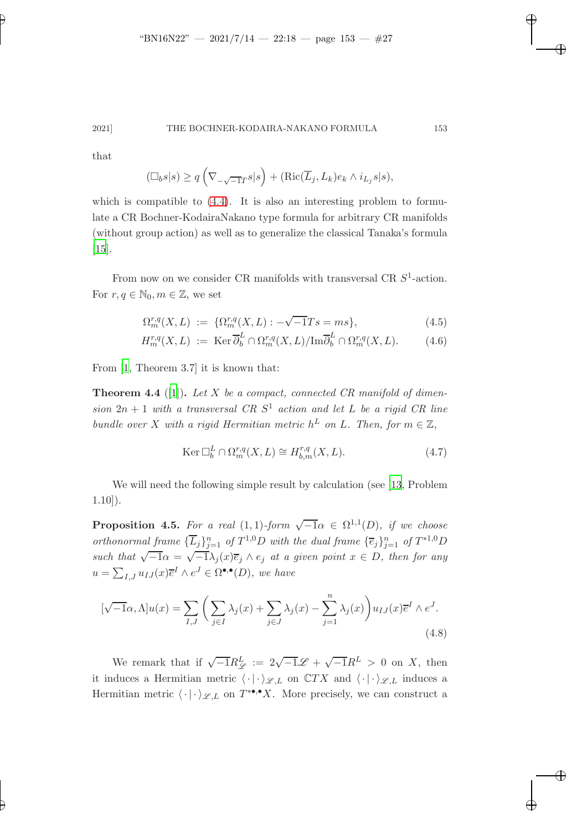✐

### 2021] THE BOCHNER-KODAIRA-NAKANO FORMULA 153

that

$$
(\Box_b s|s) \ge q\left(\nabla_{-\sqrt{-1}T} s|s\right) + (\text{Ric}(\overline{L}_j, L_k) e_k \wedge i_{L_j} s|s),
$$

which is compatible to  $(4.4)$ . It is also an interesting problem to formulate a CR Bochner-KodairaNakano type formula for arbitrary CR manifolds (without group action) as well as to generalize the classical Tanaka's formula [\[15](#page-37-5)].

From now on we consider CR manifolds with transversal CR  $S^1$ -action. For  $r, q \in \mathbb{N}_0, m \in \mathbb{Z}$ , we set

$$
\Omega_m^{r,q}(X,L) := \{ \Omega_m^{r,q}(X,L) : -\sqrt{-1}Ts = ms \},\tag{4.5}
$$

$$
H_m^{r,q}(X,L) := \operatorname{Ker} \overline{\partial}_b^L \cap \Omega_m^{r,q}(X,L) / \operatorname{Im} \overline{\partial}_b^L \cap \Omega_m^{r,q}(X,L). \tag{4.6}
$$

<span id="page-26-0"></span>From [\[1,](#page-36-2) Theorem 3.7] it is known that:

**Theorem 4.4** ([\[1](#page-36-2)]). Let X be a compact, connected CR manifold of dimension  $2n + 1$  with a transversal CR  $S<sup>1</sup>$  action and let L be a rigid CR line bundle over X with a rigid Hermitian metric  $h^L$  on L. Then, for  $m \in \mathbb{Z}$ ,

$$
\operatorname{Ker} \Box_b^L \cap \Omega_m^{r,q}(X, L) \cong H_{b,m}^{r,q}(X, L). \tag{4.7}
$$

<span id="page-26-1"></span>We will need the following simple result by calculation (see [\[13](#page-37-4), Problem 1.10]).

**Proposition 4.5.** For a real  $(1,1)$ -form  $\sqrt{-1}\alpha \in \Omega^{1,1}(D)$ , if we choose orthonormal frame  ${\{\overline{L}_j\}_{j=1}^n}$  of  $T^{1,0}D$  with the dual frame  ${\{\overline{e}_j\}_{j=1}^n}$  of  $T^{*1,0}D$ such that  $\sqrt{-1}\alpha = \sqrt{-1}\lambda_j(x)\overline{e}_j \wedge e_j$  at a given point  $x \in D$ , then for any  $u = \sum_{I,J} u_{IJ}(x) \overline{e}^I \wedge e^J \in \Omega^{\bullet,\bullet}(D)$ , we have

$$
[\sqrt{-1}\alpha, \Lambda]u(x) = \sum_{I,J} \left( \sum_{j \in I} \lambda_j(x) + \sum_{j \in J} \lambda_j(x) - \sum_{j=1}^n \lambda_j(x) \right) u_{IJ}(x) \overline{e}^I \wedge e^J.
$$
\n(4.8)

We remark that if  $\sqrt{-1}R_{\mathscr{L}}^L := 2\sqrt{-1}\mathscr{L} + \sqrt{-1}R^L > 0$  on X, then it induces a Hermitian metric  $\langle \cdot | \cdot \rangle_{\mathscr{L},L}$  on  $\mathbb{C}TX$  and  $\langle \cdot | \cdot \rangle_{\mathscr{L},L}$  induces a Hermitian metric  $\langle \cdot | \cdot \rangle_{\mathscr{L},L}$  on  $T^{*\bullet,\bullet}X$ . More precisely, we can construct a

✐

✐

✐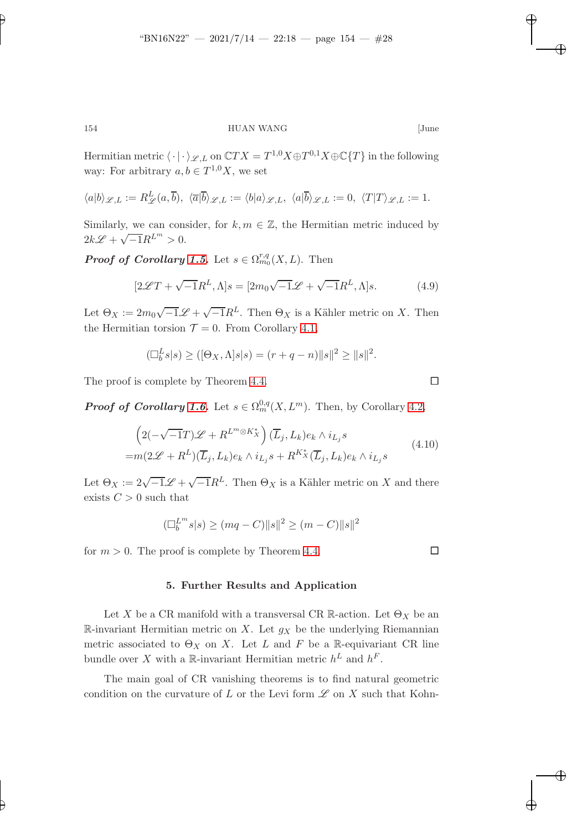✐

# 154 HUAN WANG [June

Hermitian metric  $\langle \cdot | \cdot \rangle_{\mathscr{L},L}$  on  $\mathbb{C}TX = T^{1,0}X \oplus T^{0,1}X \oplus \mathbb{C}{T}$  in the following way: For arbitrary  $a, b \in T^{1,0}X$ , we set

$$
\langle a|b\rangle_{\mathscr{L},L}:=R^L_{\mathscr{L}}(a,\overline{b}),\ \langle \overline{a}|\overline{b}\rangle_{\mathscr{L},L}:=\langle b|a\rangle_{\mathscr{L},L},\ \langle a|\overline{b}\rangle_{\mathscr{L},L}:=0,\ \langle T|T\rangle_{\mathscr{L},L}:=1.
$$

Similarly, we can consider, for  $k, m \in \mathbb{Z}$ , the Hermitian metric induced by  $2k\mathscr{L} + \sqrt{-1}R^{L^m} > 0.$ 

**Proof of Corollary [1.5.](#page-3-1)** Let  $s \in \Omega_{m_0}^{r,q}(X,L)$ . Then

$$
[2\mathcal{L}T + \sqrt{-1}R^L, \Lambda]s = [2m_0\sqrt{-1}\mathcal{L} + \sqrt{-1}R^L, \Lambda]s.
$$
 (4.9)

Let  $\Theta_X := 2m_0\sqrt{-1}\mathscr{L} + \sqrt{-1}R^L$ . Then  $\Theta_X$  is a Kähler metric on X. Then the Hermitian torsion  $\mathcal{T} = 0$ . From Corollary [4.1,](#page-25-1)

$$
(\Box_b^L s | s) \geq ([\Theta_X, \Lambda] s | s) = (r + q - n) \| s \|^2 \geq \| s \|^2.
$$

The proof is complete by Theorem [4.4.](#page-26-0)

**Proof of Corollary [1.6.](#page-4-0)** Let  $s \in \Omega_m^{0,q}(X, L^m)$ . Then, by Corollary [4.2,](#page-25-2)

$$
\left(2(-\sqrt{-1}T)\mathcal{L} + R^{L^{m}\otimes K_{X}^{*}}\right)(\overline{L}_{j}, L_{k})e_{k} \wedge i_{L_{j}}s
$$
\n
$$
= m(2\mathcal{L} + R^{L})(\overline{L}_{j}, L_{k})e_{k} \wedge i_{L_{j}}s + R^{K_{X}^{*}}(\overline{L}_{j}, L_{k})e_{k} \wedge i_{L_{j}}s
$$
\n(4.10)

Let  $\Theta_X := 2\sqrt{-1}\mathscr{L} + \sqrt{-1}R^L$ . Then  $\Theta_X$  is a Kähler metric on X and there exists  $C > 0$  such that

$$
(\Box_b^{L^m} s | s) \ge (mq - C) ||s||^2 \ge (m - C) ||s||^2
$$

for  $m > 0$ . The proof is complete by Theorem [4.4.](#page-26-0)

#### 5. Further Results and Application

Let X be a CR manifold with a transversal CR R-action. Let  $\Theta_X$  be an R-invariant Hermitian metric on X. Let  $g_X$  be the underlying Riemannian metric associated to  $\Theta_X$  on X. Let L and F be a R-equivariant CR line bundle over X with a R-invariant Hermitian metric  $h^L$  and  $h^F$ .

The main goal of CR vanishing theorems is to find natural geometric condition on the curvature of L or the Levi form  $\mathscr L$  on X such that Kohn-

✐

✐

✐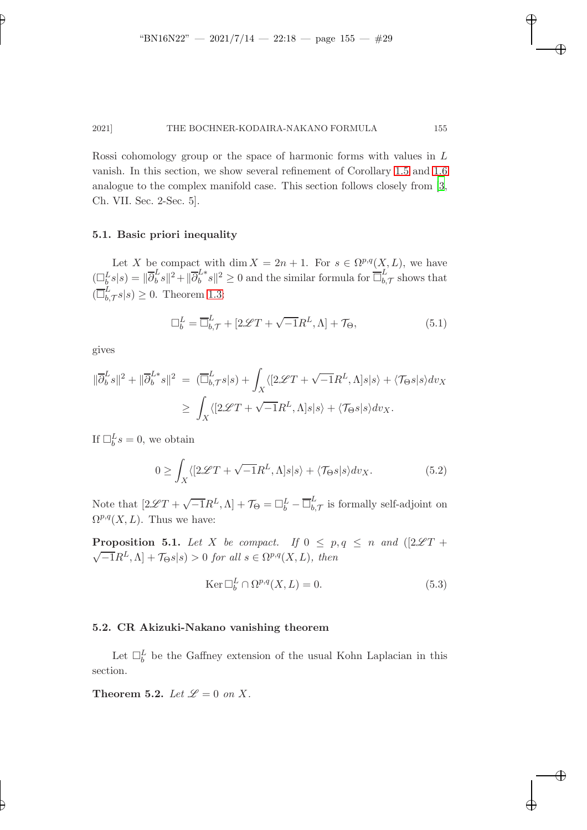✐

✐

✐

#### 2021] THE BOCHNER-KODAIRA-NAKANO FORMULA 155

Rossi cohomology group or the space of harmonic forms with values in L vanish. In this section, we show several refinement of Corollary [1.5](#page-3-1) and [1.6](#page-4-0) analogue to the complex manifold case. This section follows closely from [\[3](#page-36-5), Ch. VII. Sec. 2-Sec. 5].

### 5.1. Basic priori inequality

Let X be compact with dim  $X = 2n + 1$ . For  $s \in \Omega^{p,q}(X, L)$ , we have  $(\Box_b^L s | s) = \|\overline{\partial}_b^L$  $\frac{L}{b}s\|^2 + \|\overline{\partial}_b^{L*} s\|^2 \ge 0$  and the similar formula for  $\overline{\Box}_{b}^{L}$  $_{b,\mathcal{T}}^L$  shows that  $(\overline{\Box}_{b}^{L}% ,\overline{\Box}_{b}^{R}% ,\overline{\Box}_{b}^{R}$  $\sum_{b,\mathcal{T}}^L s|s) \geq 0$ . Theorem [1.3:](#page-3-0)

$$
\Box_b^L = \overline{\Box}_{b,\mathcal{T}}^L + [2\mathcal{L}T + \sqrt{-1}R^L, \Lambda] + \mathcal{T}_{\Theta},\tag{5.1}
$$

gives

✐

✐

$$
\begin{aligned} \|\overline{\partial}_b^L s\|^2 + \|\overline{\partial}_b^{L*} s\|^2 &= (\overline{\Box}_{b,\mathcal{T}}^L s | s) + \int_X \langle [2 \mathscr{L} T + \sqrt{-1} R^L, \Lambda] s | s \rangle + \langle \mathcal{T}_{\Theta} s | s \rangle dv_X \\ &\geq \int_X \langle [2 \mathscr{L} T + \sqrt{-1} R^L, \Lambda] s | s \rangle + \langle \mathcal{T}_{\Theta} s | s \rangle dv_X. \end{aligned}
$$

If  $\Box_b^L s = 0$ , we obtain

$$
0 \ge \int_X \langle [2\mathcal{L}T + \sqrt{-1}R^L, \Lambda]s|s\rangle + \langle \mathcal{T}_{\Theta} s|s\rangle dv_X. \tag{5.2}
$$

Note that  $[2\mathscr{L}T + \sqrt{-1}R^L, \Lambda] + \mathcal{T}_{\Theta} = \Box_b^L - \overline{\Box}_{b,}^L$  $\sum_{b,\mathcal{T}}^L$  is formally self-adjoint on  $\Omega^{p,q}(X,L)$ . Thus we have:

**Proposition 5.1.** Let X be compact. If  $0 \leq p, q \leq n$  and  $(2\mathscr{L}T +$  $\sqrt{-1}R^L$ ,  $\Lambda$ ] +  $\mathcal{T}_{\Theta} s|s) > 0$  for all  $s \in \Omega^{p,q}(X,L)$ , then

$$
\operatorname{Ker} \Box_b^L \cap \Omega^{p,q}(X, L) = 0. \tag{5.3}
$$

### 5.2. CR Akizuki-Nakano vanishing theorem

Let  $\Box_b^L$  be the Gaffney extension of the usual Kohn Laplacian in this section.

Theorem 5.2. Let  $\mathscr{L} = 0$  on X.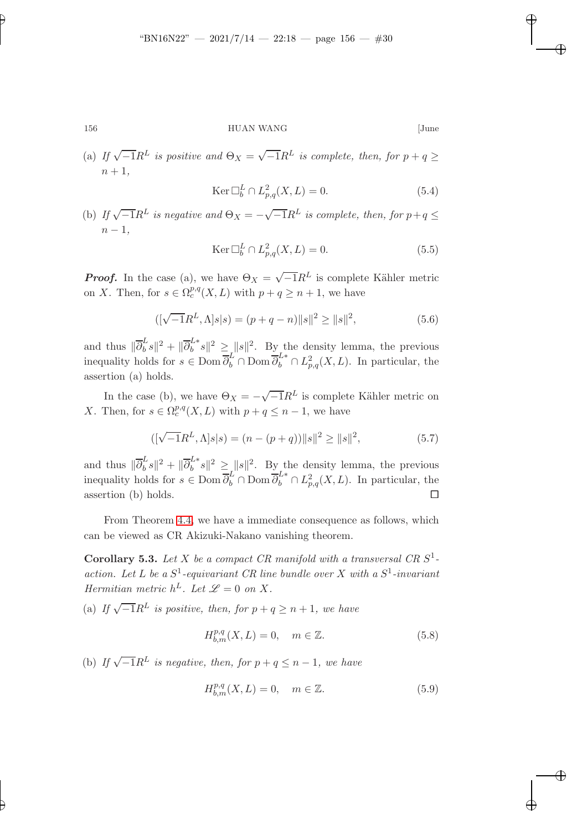✐

# 156 HUAN WANG [June

(a) If  $\sqrt{-1}R^L$  is positive and  $\Theta_X = \sqrt{-1}R^L$  is complete, then, for  $p + q \geq$  $n+1$ ,

$$
\operatorname{Ker} \Box_b^L \cap L^2_{p,q}(X,L) = 0. \tag{5.4}
$$

✐

✐

✐

✐

(b) If  $\sqrt{-1}R^L$  is negative and  $\Theta_X = -\sqrt{-1}R^L$  is complete, then, for  $p+q \leq$  $n-1,$ 

$$
\operatorname{Ker} \Box_b^L \cap L^2_{p,q}(X,L) = 0. \tag{5.5}
$$

**Proof.** In the case (a), we have  $\Theta_X = \sqrt{-1}R^L$  is complete Kähler metric on X. Then, for  $s \in \Omega_c^{p,q}(X,L)$  with  $p+q \geq n+1$ , we have

$$
([\sqrt{-1}R^{L}, \Lambda]s|s) = (p+q-n)\|s\|^{2} \ge \|s\|^{2}, \tag{5.6}
$$

and thus  $\|\overline{\partial}_b^L\|$  $\frac{L}{b} s\|^2 + \|\overline{\partial}_{b}^{L*} s\|^2 \geq \|s\|^2$ . By the density lemma, the previous inequality holds for  $s \in \text{Dom }\overline{\partial}_b^L \cap \text{Dom }\overline{\partial}_b^{L*} \cap L^2_{p,q}(X,L)$ . In particular, the assertion (a) holds.

In the case (b), we have  $\Theta_X = -\sqrt{-1}R^L$  is complete Kähler metric on X. Then, for  $s \in \Omega_c^{p,q}(X,L)$  with  $p+q \leq n-1$ , we have

$$
([\sqrt{-1}R^{L}, \Lambda]s|s) = (n - (p + q))\|s\|^{2} \ge \|s\|^{2}, \tag{5.7}
$$

and thus  $\|\overline{\partial}_b^L\|$  $\frac{L}{b} s \|^{2} + \| \overline{\partial}_{b}^{L*} s \|^{2} \geq \| s \|^{2}$ . By the density lemma, the previous inequality holds for  $s \in \text{Dom } \overline{\partial}_b^L \cap \text{Dom } \overline{\partial}_b^{L*} \cap L^2_{p,q}(X,L)$ . In particular, the assertion (b) holds.  $\square$ 

From Theorem [4.4,](#page-26-0) we have a immediate consequence as follows, which can be viewed as CR Akizuki-Nakano vanishing theorem.

Corollary 5.3. Let X be a compact CR manifold with a transversal CR  $S^1$ action. Let L be a  $S^1$ -equivariant CR line bundle over X with a  $S^1$ -invariant Hermitian metric  $h^L$ . Let  $\mathscr{L} = 0$  on X.

(a) If  $\sqrt{-1}R^L$  is positive, then, for  $p + q \ge n + 1$ , we have

$$
H_{b,m}^{p,q}(X,L) = 0, \quad m \in \mathbb{Z}.\tag{5.8}
$$

(b) If  $\sqrt{-1}R^L$  is negative, then, for  $p + q \leq n - 1$ , we have

$$
H_{b,m}^{p,q}(X,L) = 0, \quad m \in \mathbb{Z}.
$$
 (5.9)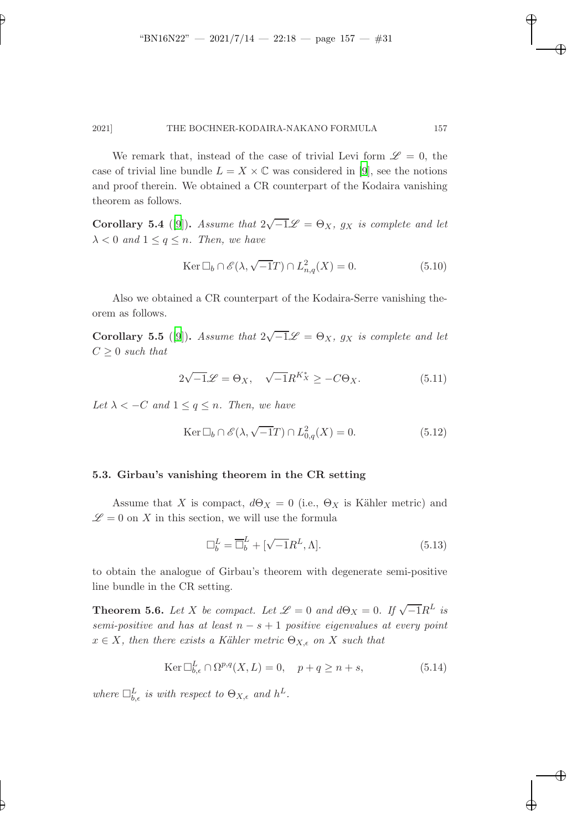✐

#### 2021] THE BOCHNER-KODAIRA-NAKANO FORMULA 157

We remark that, instead of the case of trivial Levi form  $\mathscr{L} = 0$ , the case of trivial line bundle  $L = X \times \mathbb{C}$  was considered in [\[9](#page-36-4)], see the notions and proof therein. We obtained a CR counterpart of the Kodaira vanishing theorem as follows.

**Corollary 5.4** ([\[9\]](#page-36-4)). Assume that  $2\sqrt{-1}\mathscr{L} = \Theta_X$ ,  $g_X$  is complete and let  $\lambda < 0$  and  $1 \leq q \leq n$ . Then, we have

$$
\operatorname{Ker} \Box_b \cap \mathscr{E}(\lambda, \sqrt{-1}T) \cap L^2_{n,q}(X) = 0. \tag{5.10}
$$

✐

✐

✐

✐

Also we obtained a CR counterpart of the Kodaira-Serre vanishing theorem as follows.

**Corollary 5.5** ([\[9\]](#page-36-4)). Assume that  $2\sqrt{-1}\mathscr{L} = \Theta_X$ ,  $g_X$  is complete and let  $C > 0$  such that

$$
2\sqrt{-1}\mathcal{L} = \Theta_X, \quad \sqrt{-1}R^{K_X^*} \ge -C\Theta_X. \tag{5.11}
$$

Let  $\lambda < -C$  and  $1 \leq q \leq n$ . Then, we have

$$
\operatorname{Ker} \Box_b \cap \mathscr{E}(\lambda, \sqrt{-1}T) \cap L^2_{0,q}(X) = 0. \tag{5.12}
$$

#### 5.3. Girbau's vanishing theorem in the CR setting

Assume that X is compact,  $d\Theta_X = 0$  (i.e.,  $\Theta_X$  is Kähler metric) and  $\mathscr{L} = 0$  on X in this section, we will use the formula

$$
\Box_b^L = \overline{\Box}_b^L + [\sqrt{-1}R^L, \Lambda]. \tag{5.13}
$$

to obtain the analogue of Girbau's theorem with degenerate semi-positive line bundle in the CR setting.

**Theorem 5.6.** Let X be compact. Let  $\mathcal{L} = 0$  and  $d\Theta_X = 0$ . If  $\sqrt{-1}R^L$  is semi-positive and has at least  $n - s + 1$  positive eigenvalues at every point  $x \in X$ , then there exists a Kähler metric  $\Theta_{X,\epsilon}$  on X such that

$$
\operatorname{Ker} \Box_{b,\epsilon}^{L} \cap \Omega^{p,q}(X,L) = 0, \quad p+q \ge n+s,
$$
\n(5.14)

where  $\Box_{b,\epsilon}^L$  is with respect to  $\Theta_{X,\epsilon}$  and  $h^L$ .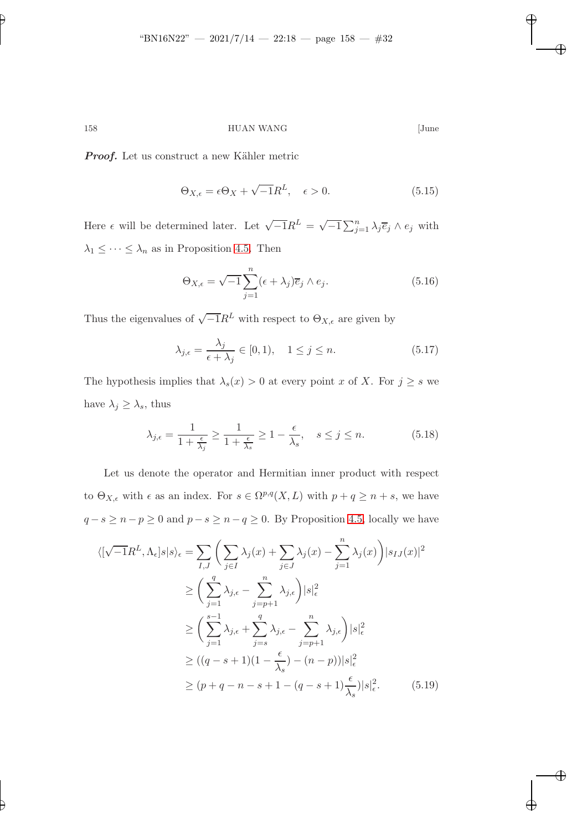✐

158 HUAN WANG [June

✐

✐

✐

✐

Proof. Let us construct a new Kähler metric

$$
\Theta_{X,\epsilon} = \epsilon \Theta_X + \sqrt{-1}R^L, \quad \epsilon > 0. \tag{5.15}
$$

Here  $\epsilon$  will be determined later. Let  $\sqrt{-1}R^L = \sqrt{-1}\sum_{j=1}^n \lambda_j \overline{e}_j \wedge e_j$  with  $\lambda_1 \leq \cdots \leq \lambda_n$  as in Proposition [4.5.](#page-26-1) Then

$$
\Theta_{X,\epsilon} = \sqrt{-1} \sum_{j=1}^{n} (\epsilon + \lambda_j) \overline{e}_j \wedge e_j.
$$
 (5.16)

Thus the eigenvalues of  $\sqrt{-1}R^L$  with respect to  $\Theta_{X,\epsilon}$  are given by

$$
\lambda_{j,\epsilon} = \frac{\lambda_j}{\epsilon + \lambda_j} \in [0,1), \quad 1 \le j \le n. \tag{5.17}
$$

The hypothesis implies that  $\lambda_s(x) > 0$  at every point x of X. For  $j \geq s$  we have  $\lambda_j \geq \lambda_s$ , thus

$$
\lambda_{j,\epsilon} = \frac{1}{1 + \frac{\epsilon}{\lambda_j}} \ge \frac{1}{1 + \frac{\epsilon}{\lambda_s}} \ge 1 - \frac{\epsilon}{\lambda_s}, \quad s \le j \le n. \tag{5.18}
$$

Let us denote the operator and Hermitian inner product with respect to  $\Theta_{X,\epsilon}$  with  $\epsilon$  as an index. For  $s \in \Omega^{p,q}(X,L)$  with  $p+q \geq n+s$ , we have  $q - s \geq n - p \geq 0$  and  $p - s \geq n - q \geq 0$ . By Proposition [4.5,](#page-26-1) locally we have

$$
\langle \left[ \sqrt{-1}R^{L}, \Lambda_{\epsilon} \right] s | s \rangle_{\epsilon} = \sum_{I,J} \left( \sum_{j \in I} \lambda_{j}(x) + \sum_{j \in J} \lambda_{j}(x) - \sum_{j=1}^{n} \lambda_{j}(x) \right) |s_{IJ}(x)|^{2}
$$
  
\n
$$
\geq \left( \sum_{j=1}^{q} \lambda_{j,\epsilon} - \sum_{j=p+1}^{n} \lambda_{j,\epsilon} \right) | s |_{\epsilon}^{2}
$$
  
\n
$$
\geq \left( \sum_{j=1}^{s-1} \lambda_{j,\epsilon} + \sum_{j=s}^{q} \lambda_{j,\epsilon} - \sum_{j=p+1}^{n} \lambda_{j,\epsilon} \right) | s |_{\epsilon}^{2}
$$
  
\n
$$
\geq ((q-s+1)(1-\frac{\epsilon}{\lambda_{s}}) - (n-p)) | s |_{\epsilon}^{2}
$$
  
\n
$$
\geq (p+q-n-s+1 - (q-s+1)\frac{\epsilon}{\lambda_{s}}) | s |_{\epsilon}^{2}.
$$
 (5.19)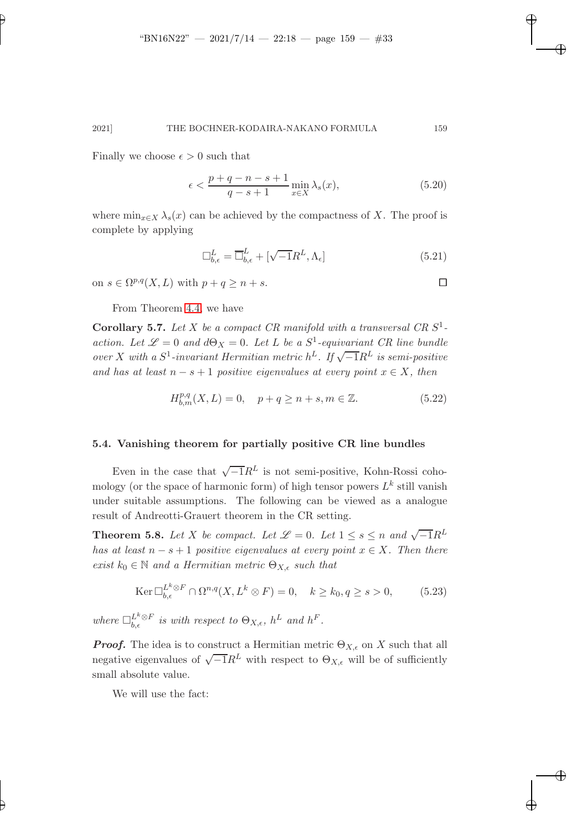Finally we choose  $\epsilon > 0$  such that

✐

✐

$$
\epsilon < \frac{p+q-n-s+1}{q-s+1} \min_{x \in X} \lambda_s(x),\tag{5.20}
$$

✐

✐

✐

✐

where  $\min_{x \in X} \lambda_s(x)$  can be achieved by the compactness of X. The proof is complete by applying

$$
\Box_{b,\epsilon}^L = \overline{\Box}_{b,\epsilon}^L + [\sqrt{-1}R^L, \Lambda_{\epsilon}] \tag{5.21}
$$

on  $s \in \Omega^{p,q}(X,L)$  with  $p + q \geq n + s$ .

From Theorem [4.4,](#page-26-0) we have

Corollary 5.7. Let X be a compact CR manifold with a transversal CR  $S^1$ action. Let  $\mathscr{L} = 0$  and  $d\Theta_X = 0$ . Let L be a  $S^1$ -equivariant CR line bundle over X with a  $S^1$ -invariant Hermitian metric  $h^L$ . If  $\sqrt{-1}R^L$  is semi-positive and has at least  $n - s + 1$  positive eigenvalues at every point  $x \in X$ , then

$$
H_{b,m}^{p,q}(X,L) = 0, \quad p+q \ge n+s, m \in \mathbb{Z}.
$$
 (5.22)

### 5.4. Vanishing theorem for partially positive CR line bundles

Even in the case that  $\sqrt{-1}R^L$  is not semi-positive, Kohn-Rossi cohomology (or the space of harmonic form) of high tensor powers  $L^k$  still vanish under suitable assumptions. The following can be viewed as a analogue result of Andreotti-Grauert theorem in the CR setting.

**Theorem 5.8.** Let X be compact. Let  $\mathcal{L} = 0$ . Let  $1 \leq s \leq n$  and  $\sqrt{-1}R^L$ has at least  $n - s + 1$  positive eigenvalues at every point  $x \in X$ . Then there exist  $k_0 \in \mathbb{N}$  and a Hermitian metric  $\Theta_{X,\epsilon}$  such that

$$
\operatorname{Ker} \Box_{b,\epsilon}^{L^k \otimes F} \cap \Omega^{n,q}(X, L^k \otimes F) = 0, \quad k \ge k_0, q \ge s > 0,
$$
\n
$$
(5.23)
$$

where  $\Box_{b,\epsilon}^{L^k \otimes F}$  is with respect to  $\Theta_{X,\epsilon}$ ,  $h^L$  and  $h^F$ .

**Proof.** The idea is to construct a Hermitian metric  $\Theta_{X,\epsilon}$  on X such that all negative eigenvalues of  $\sqrt{-1}R^L$  with respect to  $\Theta_{X,\epsilon}$  will be of sufficiently small absolute value.

We will use the fact: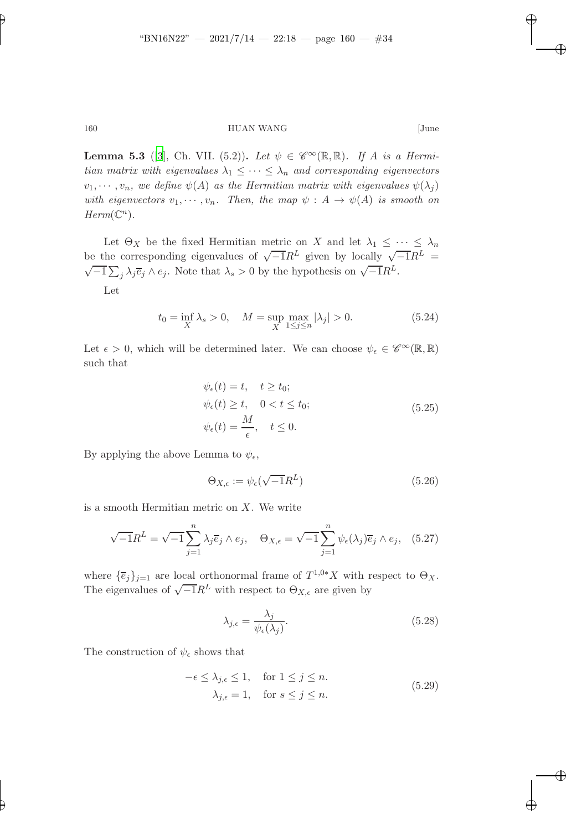✐

### 160 HUAN WANG [June

**Lemma 5.3** ([\[3](#page-36-5)], Ch. VII. (5.2)). Let  $\psi \in \mathscr{C}^{\infty}(\mathbb{R}, \mathbb{R})$ . If A is a Hermitian matrix with eigenvalues  $\lambda_1 \leq \cdots \leq \lambda_n$  and corresponding eigenvectors  $v_1, \dots, v_n$ , we define  $\psi(A)$  as the Hermitian matrix with eigenvalues  $\psi(\lambda_j)$ with eigenvectors  $v_1, \dots, v_n$ . Then, the map  $\psi : A \to \psi(A)$  is smooth on  $Herm(\mathbb{C}^n)$ .

Let  $\Theta_X$  be the fixed Hermitian metric on X and let  $\lambda_1 \leq \cdots \leq \lambda_n$ be the corresponding eigenvalues of  $\sqrt{-1}R^L$  given by locally  $\sqrt{-1}R^L =$ <br> $\sqrt{-1}R^L$  $\overline{-1} \sum_j \lambda_j \overline{e}_j \wedge e_j$ . Note that  $\lambda_s > 0$  by the hypothesis on  $\sqrt{-1}R^L$ .

Let

$$
t_0 = \inf_X \lambda_s > 0, \quad M = \sup_X \max_{1 \le j \le n} |\lambda_j| > 0.
$$
 (5.24)

Let  $\epsilon > 0$ , which will be determined later. We can choose  $\psi_{\epsilon} \in \mathscr{C}^{\infty}(\mathbb{R}, \mathbb{R})$ such that

$$
\psi_{\epsilon}(t) = t, \quad t \ge t_0; \n\psi_{\epsilon}(t) \ge t, \quad 0 < t \le t_0; \n\psi_{\epsilon}(t) = \frac{M}{\epsilon}, \quad t \le 0.
$$
\n(5.25)

By applying the above Lemma to  $\psi_{\epsilon}$ ,

$$
\Theta_{X,\epsilon} := \psi_{\epsilon}(\sqrt{-1}R^L)
$$
\n(5.26)

is a smooth Hermitian metric on  $X$ . We write

$$
\sqrt{-1}R^{L} = \sqrt{-1} \sum_{j=1}^{n} \lambda_{j} \overline{e}_{j} \wedge e_{j}, \quad \Theta_{X,\epsilon} = \sqrt{-1} \sum_{j=1}^{n} \psi_{\epsilon}(\lambda_{j}) \overline{e}_{j} \wedge e_{j}, \quad (5.27)
$$

where  $\{\overline{e}_j\}_{j=1}$  are local orthonormal frame of  $T^{1,0*}X$  with respect to  $\Theta_X$ . The eigenvalues of  $\sqrt{-1}R^L$  with respect to  $\Theta_{X,\epsilon}$  are given by

$$
\lambda_{j,\epsilon} = \frac{\lambda_j}{\psi_{\epsilon}(\lambda_j)}.\tag{5.28}
$$

The construction of  $\psi_{\epsilon}$  shows that

$$
-\epsilon \leq \lambda_{j,\epsilon} \leq 1, \quad \text{for } 1 \leq j \leq n.
$$
  

$$
\lambda_{j,\epsilon} = 1, \quad \text{for } s \leq j \leq n.
$$
 (5.29)

✐

✐

✐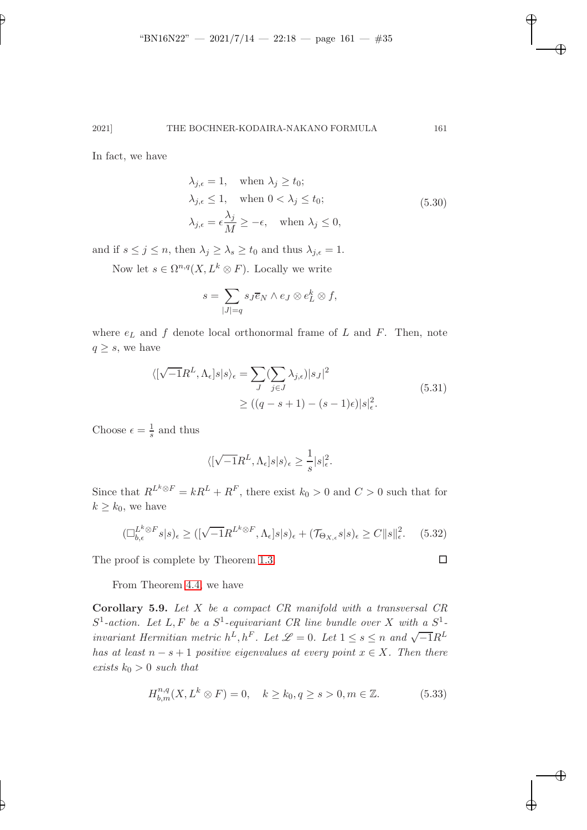In fact, we have

✐

✐

$$
\lambda_{j,\epsilon} = 1, \quad \text{when } \lambda_j \ge t_0; \n\lambda_{j,\epsilon} \le 1, \quad \text{when } 0 < \lambda_j \le t_0; \n\lambda_{j,\epsilon} = \epsilon \frac{\lambda_j}{M} \ge -\epsilon, \quad \text{when } \lambda_j \le 0,
$$
\n(5.30)

✐

✐

✐

✐

and if  $s \le j \le n$ , then  $\lambda_j \ge \lambda_s \ge t_0$  and thus  $\lambda_{j,\epsilon} = 1$ .

Now let  $s \in \Omega^{n,q}(X, L^k \otimes F)$ . Locally we write

$$
s = \sum_{|J|=q} s_J \overline{e}_N \wedge e_J \otimes e_L^k \otimes f,
$$

where  $e<sub>L</sub>$  and f denote local orthonormal frame of L and F. Then, note  $q \geq s$ , we have

$$
\langle \left[ \sqrt{-1}R^L, \Lambda_{\epsilon} \right] s | s \rangle_{\epsilon} = \sum_{J} \langle \sum_{j \in J} \lambda_{j,\epsilon} \rangle | s_{J} |^2
$$
  
 
$$
\geq \left( (q - s + 1) - (s - 1)\epsilon \right) | s |_{\epsilon}^2.
$$
 (5.31)

Choose  $\epsilon = \frac{1}{s}$  and thus

$$
\langle [\sqrt{-1}R^L,\Lambda_\epsilon]s|s\rangle_\epsilon\geq \frac{1}{s}|s|_\epsilon^2.
$$

Since that  $R^{L^k \otimes F} = kR^L + R^F$ , there exist  $k_0 > 0$  and  $C > 0$  such that for  $k \geq k_0$ , we have

$$
(\Box_{b,\epsilon}^{L^k \otimes F} s | s)_{\epsilon} \ge ([\sqrt{-1}R^{L^k \otimes F}, \Lambda_{\epsilon}] s | s)_{\epsilon} + (\mathcal{T}_{\Theta_{X,\epsilon}} s | s)_{\epsilon} \ge C \|s\|_{\epsilon}^2. \tag{5.32}
$$

The proof is complete by Theorem [1.3.](#page-3-0)

From Theorem [4.4,](#page-26-0) we have

Corollary 5.9. Let X be a compact CR manifold with a transversal CR  $S^1$ -action. Let L, F be a  $S^1$ -equivariant CR line bundle over X with a  $S^1$ invariant Hermitian metric  $h^{\hat{L}}, h^F$ . Let  $\mathscr{L} = 0$ . Let  $1 \leq s \leq n$  and  $\sqrt{-1}R^L$ has at least  $n - s + 1$  positive eigenvalues at every point  $x \in X$ . Then there exists  $k_0 > 0$  such that

$$
H_{b,m}^{n,q}(X, L^k \otimes F) = 0, \quad k \ge k_0, q \ge s > 0, m \in \mathbb{Z}.
$$
 (5.33)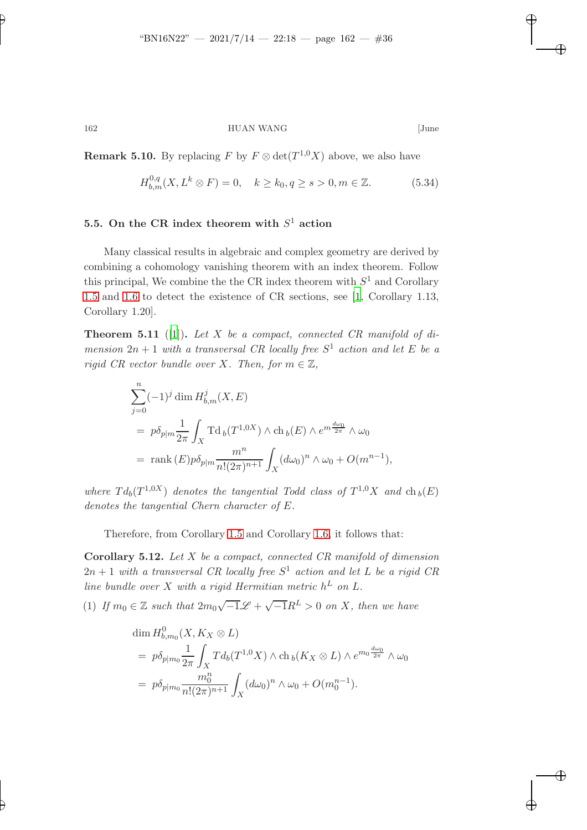✐

✐

✐

✐

✐

# 162 HUAN WANG [June

**Remark 5.10.** By replacing  $F$  by  $F \otimes \det(T^{1,0}X)$  above, we also have

$$
H_{b,m}^{0,q}(X, L^k \otimes F) = 0, \quad k \ge k_0, q \ge s > 0, m \in \mathbb{Z}.
$$
 (5.34)

# 5.5. On the CR index theorem with  $S^1$  action

Many classical results in algebraic and complex geometry are derived by combining a cohomology vanishing theorem with an index theorem. Follow this principal, We combine the the CR index theorem with  $S<sup>1</sup>$  and Corollary [1.5](#page-3-1) and [1.6](#page-4-0) to detect the existence of CR sections, see [\[1](#page-36-2), Corollary 1.13, Corollary 1.20].

**Theorem 5.11** ([\[1\]](#page-36-2)). Let X be a compact, connected CR manifold of dimension  $2n + 1$  with a transversal CR locally free  $S<sup>1</sup>$  action and let E be a rigid CR vector bundle over X. Then, for  $m \in \mathbb{Z}$ ,

$$
\sum_{j=0}^{n} (-1)^{j} \dim H_{b,m}^{j}(X, E)
$$
\n
$$
= p\delta_{p|m} \frac{1}{2\pi} \int_{X} \mathrm{Td}_{b}(T^{1,0X}) \wedge \mathrm{ch}_{b}(E) \wedge e^{m\frac{d\omega_{0}}{2\pi}} \wedge \omega_{0}
$$
\n
$$
= \mathrm{rank}(E) p\delta_{p|m} \frac{m^{n}}{n!(2\pi)^{n+1}} \int_{X} (d\omega_{0})^{n} \wedge \omega_{0} + O(m^{n-1}),
$$

where  $Td_b(T^{1,0X})$  denotes the tangential Todd class of  $T^{1,0}X$  and  $ch_b(E)$ denotes the tangential Chern character of E.

Therefore, from Corollary [1.5](#page-3-1) and Corollary [1.6,](#page-4-0) it follows that:

**Corollary 5.12.** Let  $X$  be a compact, connected  $CR$  manifold of dimension  $2n + 1$  with a transversal CR locally free  $S<sup>1</sup>$  action and let L be a rigid CR line bundle over X with a rigid Hermitian metric  $h^L$  on L.

(1) If  $m_0 \in \mathbb{Z}$  such that  $2m_0\sqrt{-1}\mathscr{L} + \sqrt{-1}R^L > 0$  on X, then we have

$$
\dim H_{b,m_0}^0(X, K_X \otimes L)
$$
\n
$$
= p\delta_{p|m_0} \frac{1}{2\pi} \int_X T d_b(T^{1,0}X) \wedge ch_b(K_X \otimes L) \wedge e^{m_0 \frac{d\omega_0}{2\pi}} \wedge \omega_0
$$
\n
$$
= p\delta_{p|m_0} \frac{m_0^n}{n!(2\pi)^{n+1}} \int_X (d\omega_0)^n \wedge \omega_0 + O(m_0^{n-1}).
$$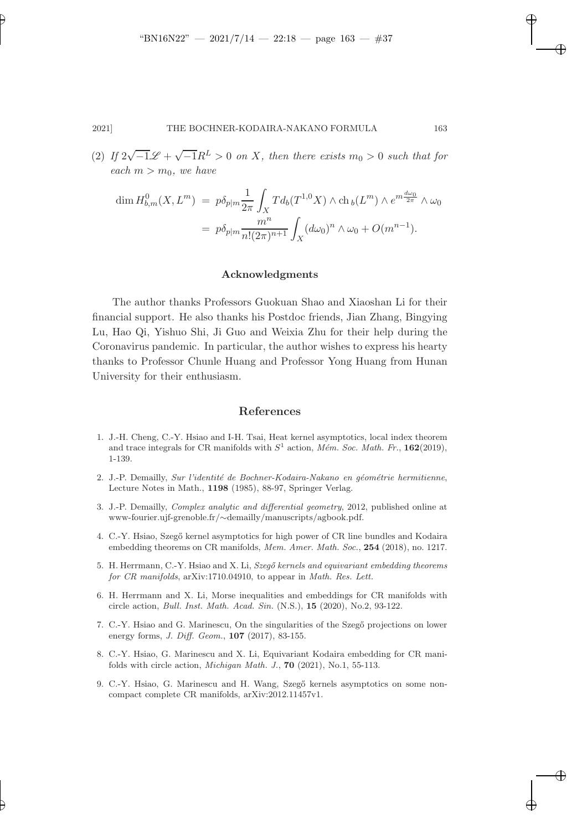✐

### 2021] THE BOCHNER-KODAIRA-NAKANO FORMULA 163

(2) If  $2\sqrt{-1}\mathscr{L} + \sqrt{-1}R^L > 0$  on X, then there exists  $m_0 > 0$  such that for each  $m > m_0$ , we have

$$
\dim H_{b,m}^0(X, L^m) = p\delta_{p|m} \frac{1}{2\pi} \int_X T d_b(T^{1,0}X) \wedge ch_b(L^m) \wedge e^{m\frac{d\omega_0}{2\pi}} \wedge \omega_0
$$
  
=  $p\delta_{p|m} \frac{m^n}{n!(2\pi)^{n+1}} \int_X (d\omega_0)^n \wedge \omega_0 + O(m^{n-1}).$ 

### Acknowledgments

The author thanks Professors Guokuan Shao and Xiaoshan Li for their financial support. He also thanks his Postdoc friends, Jian Zhang, Bingying Lu, Hao Qi, Yishuo Shi, Ji Guo and Weixia Zhu for their help during the Coronavirus pandemic. In particular, the author wishes to express his hearty thanks to Professor Chunle Huang and Professor Yong Huang from Hunan University for their enthusiasm.

### References

- <span id="page-36-2"></span>1. J.-H. Cheng, C.-Y. Hsiao and I-H. Tsai, Heat kernel asymptotics, local index theorem and trace integrals for CR manifolds with  $S<sup>1</sup>$  action, *Mém. Soc. Math. Fr.*, **162**(2019), 1-139.
- <span id="page-36-0"></span>2. J.-P. Demailly, Sur l'identité de Bochner-Kodaira-Nakano en géométrie hermitienne, Lecture Notes in Math., 1198 (1985), 88-97, Springer Verlag.
- <span id="page-36-5"></span>3. J.-P. Demailly, Complex analytic and differential geometry, 2012, published online at www-fourier.ujf-grenoble.fr/∼demailly/manuscripts/agbook.pdf.
- <span id="page-36-1"></span>4. C.-Y. Hsiao, Szeg˝o kernel asymptotics for high power of CR line bundles and Kodaira embedding theorems on CR manifolds, Mem. Amer. Math. Soc., 254 (2018), no. 1217.
- <span id="page-36-6"></span>5. H. Herrmann, C.-Y. Hsiao and X. Li, Szegő kernels and equivariant embedding theorems for CR manifolds, arXiv:1710.04910, to appear in Math. Res. Lett.
- <span id="page-36-3"></span>6. H. Herrmann and X. Li, Morse inequalities and embeddings for CR manifolds with circle action, Bull. Inst. Math. Acad. Sin. (N.S.), 15 (2020), No.2, 93-122.
- <span id="page-36-7"></span>7. C.-Y. Hsiao and G. Marinescu, On the singularities of the Szegő projections on lower energy forms, *J. Diff. Geom.*, **107** (2017), 83-155.
- <span id="page-36-8"></span>8. C.-Y. Hsiao, G. Marinescu and X. Li, Equivariant Kodaira embedding for CR manifolds with circle action, Michigan Math. J., 70 (2021), No.1, 55-113.
- <span id="page-36-4"></span>9. C.-Y. Hsiao, G. Marinescu and H. Wang, Szegő kernels asymptotics on some noncompact complete CR manifolds, arXiv:2012.11457v1.

✐

✐

✐